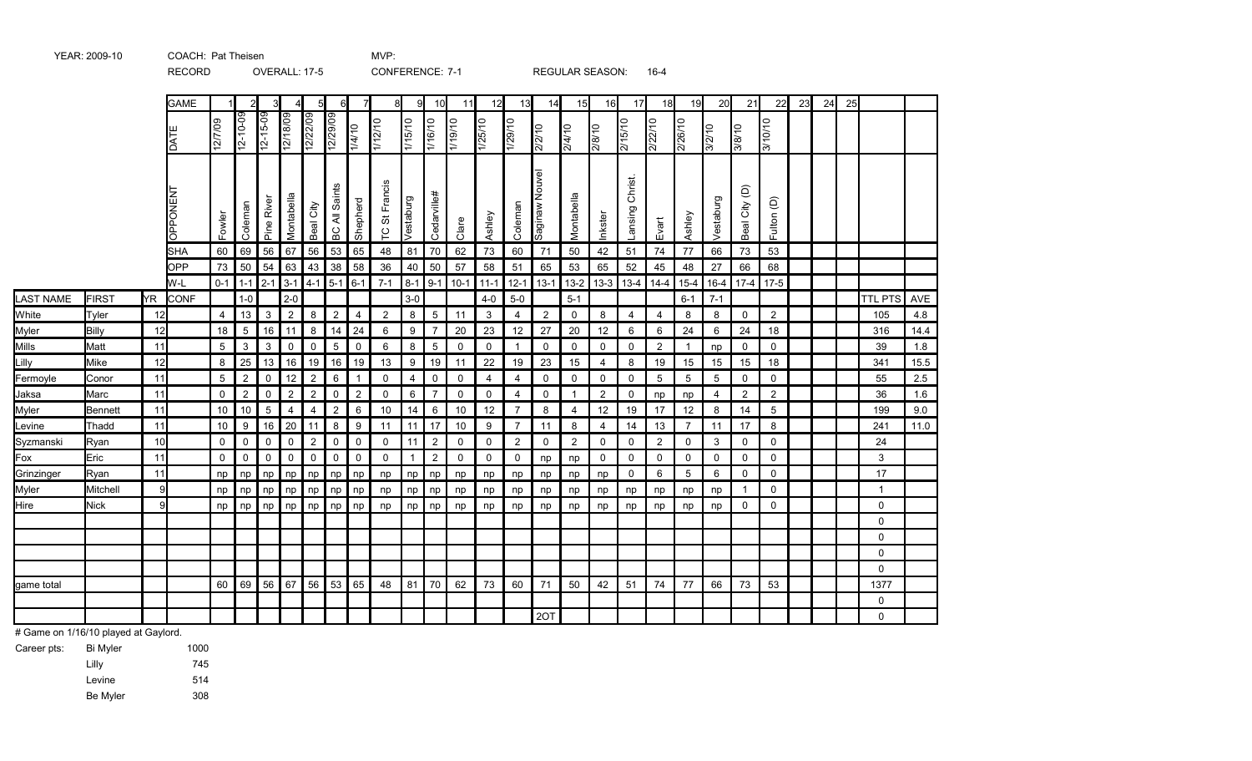|            |              |     | RECORD          |                |                | OVERALL: 17-5     |                |                  |                |                | <b>CONFERENCE: 7-1</b> |                     |                |                   |                |                |                | <b>REGULAR SEASON:</b> |                |                    | 16-4           |                 |                 |                |                |    |    |    |                |      |
|------------|--------------|-----|-----------------|----------------|----------------|-------------------|----------------|------------------|----------------|----------------|------------------------|---------------------|----------------|-------------------|----------------|----------------|----------------|------------------------|----------------|--------------------|----------------|-----------------|-----------------|----------------|----------------|----|----|----|----------------|------|
|            |              |     | <b>GAME</b>     |                |                | 3                 |                |                  | 6              | $\overline{7}$ | 8                      | 9                   | 10             | 11                | 12             | 13             | 14             | 15                     | 16             | 17                 | 18             | 19              | 20              | 21             | 22             | 23 | 24 | 25 |                |      |
|            |              |     | DATE            | 12/7/09        | $12 - 10 - 09$ | $12 - 15 - 09$    | 12/18/09       | 12/22/09         | 12/29/09       | $\frac{1}{4}$  | $\frac{1}{112110}$     | $\frac{01121}{115}$ | 1/16/10        | $\frac{01/10}{1}$ | 1/25/10        | 1/29/10        | $\frac{2}{2}$  | 01/b/Z                 | 2/8/10         | 2/15/10            | 2/22/10        | 2/26/10         | $\frac{3}{2}$   | $rac{1}{3/8}$  | 3/10/10        |    |    |    |                |      |
|            |              |     | <b>DPPONENT</b> | Fowler         | Coleman        | <b>Pine River</b> | Montabella     | Beal City        | BC All Saints  | Shepherd       | TC St Francis          | Vestaburg           | Cedarville#    | Clare             | Ashley         | Coleman        | Saginaw Nouvel | Montabella             | Inkster        | Christ.<br>Lansing | Evart          | Ashley          | Vestaburg       | Beal City (D)  | Fulton (D)     |    |    |    |                |      |
|            |              |     | <b>SHA</b>      | $60$ 69        |                | 56                | 67             | 56               | 53             | 65             | 48                     | 81                  | 70             | 62                | 73             | 60             | 71             | 50                     | 42             | 51                 | 74             | 77              | 66              | 73             | 53             |    |    |    |                |      |
|            |              |     | OPP             |                | 73 50          | 54                | $63 \mid 43$   |                  | 38             | 58             | 36                     | 40                  | 50             | 57                | 58             | 51             | 65             | 53                     | 65             | 52                 | 45             | 48              | 27              | 66             | 68             |    |    |    |                |      |
|            |              |     | W-L             |                | $0-1$ 1-1      | $2 - 1$           | $3-1$ 4-1      |                  | $5 - 1$        | $6-1$          | $7 - 1$                | $8-1$               | $9-1$          | $10-1$            | $11 - 1$       | $12-1$         | $13-1$         | $13 - 2$               | $13-3$         | $13 - 4$           | $14 - 4$       | $15 - 4$        | $16 - 4$        | $17-4$         | $17-5$         |    |    |    |                |      |
| LAST NAME  | <b>FIRST</b> | YR. | CONF            |                | $1-0$          |                   | $2 - 0$        |                  |                |                |                        | $3-0$               |                |                   | $4-0$          | $5-0$          |                | $5 - 1$                |                |                    |                | $6 - 1$         | $7 - 1$         |                |                |    |    |    | <b>TTL PTS</b> | AVE  |
| White      | Tyler        | 12  |                 | $\overline{4}$ | 13             | $\mathbf{3}$      | $\overline{2}$ | 8                | $\overline{c}$ | $\overline{4}$ | $\overline{2}$         | 8                   | 5 <sup>5</sup> | 11                | 3              | 4              | $\overline{2}$ | $\mathbf 0$            | 8              | $\overline{4}$     | $\overline{4}$ | 8               | 8               | $\mathbf 0$    | $\overline{2}$ |    |    |    | 105            | 4.8  |
| Myler      | <b>Billy</b> | 12  |                 | 18             | 5              | 16                | 11             | 8                | 14             | 24             | 6                      | 9                   | $\overline{7}$ | 20                | 23             | 12             | $27\,$         | 20                     | 12             | 6                  | 6              | 24              | 6               | 24             | 18             |    |    |    | 316            | 14.4 |
| Mills      | Matt         | 11  |                 | 5              | 3              | 3                 | $\mathsf 0$    | $\mathbf 0$      | 5              | 0              | 6                      | 8                   | 5              | $\mathbf 0$       | $\mathbf 0$    | $\mathbf{1}$   | $\mathbf 0$    | $\Omega$               | $\mathbf 0$    | 0                  | $\overline{2}$ |                 | np              | $\mathbf 0$    | $\mathbf{0}$   |    |    |    | 39             | 1.8  |
| Lilly      | Mike         | 12  |                 | 8              | 25             | 13                | 16             | 19               | 16             | 19             | 13                     | $\boldsymbol{9}$    | 19             | 11                | 22             | 19             | 23             | 15                     | $\overline{4}$ | 8                  | 19             | 15              | 15              | 15             | 18             |    |    |    | 341            | 15.5 |
| Fermoyle   | Conor        | 11  |                 | 5              | $\overline{2}$ | $\mathbf 0$       | 12             | $\overline{2}$   | 6              | $\overline{1}$ | 0                      | $\overline{4}$      | $\mathbf 0$    | 0                 | $\overline{4}$ | 4              | $\mathbf 0$    | $\mathbf 0$            | $\mathbf 0$    | $\mathbf 0$        | 5              | 5               | $5\phantom{.0}$ | $\mathbf 0$    | $\mathbf 0$    |    |    |    | 55             | 2.5  |
| Jaksa      | Marc         | 11  |                 | 0              | $\overline{c}$ | 0                 | $\overline{2}$ | $\boldsymbol{2}$ | 0              | $\overline{2}$ | 0                      | 6                   | $\overline{7}$ | 0                 | 0              | 4              | 0              | $\mathbf{1}$           | $\overline{c}$ | 0                  | np             | np              | 4               | $\overline{2}$ | $\overline{2}$ |    |    |    | 36             | 1.6  |
| Myler      | Bennett      | 11  |                 | 10             | 10             | $5\phantom{.0}$   | $\overline{4}$ | $\overline{4}$   | $\overline{2}$ | 6              | 10                     | 14                  | 6              | 10                | 12             | $\overline{7}$ | 8              | $\overline{4}$         | 12             | 19                 | 17             | 12              | 8               | 14             | 5              |    |    |    | 199            | 9.0  |
| Levine     | Thadd        | 11  |                 | 10             | 9              | 16                | 20             | 11               | 8              | 9              | 11                     | 11                  | 17             | 10                | 9              | $\overline{7}$ | 11             | 8                      | 4              | 14                 | 13             | $\overline{7}$  | 11              | 17             | 8              |    |    |    | 241            | 11.0 |
| Syzmanski  | Ryan         | 10  |                 | $\mathbf 0$    | 0              | 0                 | $\mathsf 0$    | $\overline{2}$   | 0              | 0              | 0                      | 11                  | $\overline{2}$ | $\mathbf 0$       | $\mathbf 0$    | $\overline{2}$ | 0              | $\overline{2}$         | $\mathbf 0$    | 0                  | $\overline{2}$ | 0               | 3               | $\mathbf 0$    | $\mathbf 0$    |    |    |    | 24             |      |
| Fox        | Eric         | 11  |                 | $\mathbf 0$    | $\mathbf 0$    | $\mathbf 0$       | $\mathbf 0$    | $\mathbf 0$      | $\mathbf 0$    | $\mathbf 0$    | $\mathbf 0$            | $\overline{1}$      | $\overline{2}$ | $\Omega$          | $\mathbf 0$    | 0              | np             | np                     | $\mathbf 0$    | 0                  | $\mathbf{0}$   | $\mathbf 0$     | $\mathbf 0$     | $\Omega$       | $\mathbf{0}$   |    |    |    | 3              |      |
| Grinzinger | Ryan         | 11  |                 | np             | np             | np                | np             | np               | np             | np             | np                     | np                  | np             | np                | np             | np             | np             | np                     | np             | $\mathbf 0$        | 6              | $5\phantom{.0}$ | 6               | $\mathbf 0$    | $\mathbf{0}$   |    |    |    | 17             |      |
| Myler      | Mitchell     | 9   |                 | np             | np             | np                | np             | np               | np             | np             | np                     | np                  | np             | np                | np             | np             | np             | np                     | np             | np                 | np             | np              | np              | $\mathbf{1}$   | $\mathbf 0$    |    |    |    | $\mathbf{1}$   |      |
| Hire       | <b>Nick</b>  | 9   |                 | np             | np             | np                | np             | n                | np             | np             | np                     | np                  | np             | np                | np             | np             | np             | np                     | np             | np                 | np             | np              | np              | 0              | $\mathbf 0$    |    |    |    | 0              |      |
|            |              |     |                 |                |                |                   |                |                  |                |                |                        |                     |                |                   |                |                |                |                        |                |                    |                |                 |                 |                |                |    |    |    | $\mathbf 0$    |      |
|            |              |     |                 |                |                |                   |                |                  |                |                |                        |                     |                |                   |                |                |                |                        |                |                    |                |                 |                 |                |                |    |    |    | 0              |      |
|            |              |     |                 |                |                |                   |                |                  |                |                |                        |                     |                |                   |                |                |                |                        |                |                    |                |                 |                 |                |                |    |    |    | 0              |      |
|            |              |     |                 |                |                |                   |                |                  |                |                |                        |                     |                |                   |                |                |                |                        |                |                    |                |                 |                 |                |                |    |    |    | $\Omega$       |      |
| game total |              |     |                 |                | 60   69        | 56 67             |                | 56               |                | 53 65          | 48                     | 81                  | 70             | 62                | 73             | 60             | 71             | 50                     | 42             | 51                 | 74             | 77              | 66              | 73             | 53             |    |    |    | 1377           |      |
|            |              |     |                 |                |                |                   |                |                  |                |                |                        |                     |                |                   |                |                |                |                        |                |                    |                |                 |                 |                |                |    |    |    | 0              |      |
|            |              |     |                 |                |                |                   |                |                  |                |                |                        |                     |                |                   |                |                | 2OT            |                        |                |                    |                |                 |                 |                |                |    |    |    | 0              |      |

# Game on 1/16/10 played at Gaylord.

1000 Lilly 745 Levine 514 308 Career pts: Bi Myler Be Myler

YEAR: 2009-10 COACH: Pat Theisen MVP: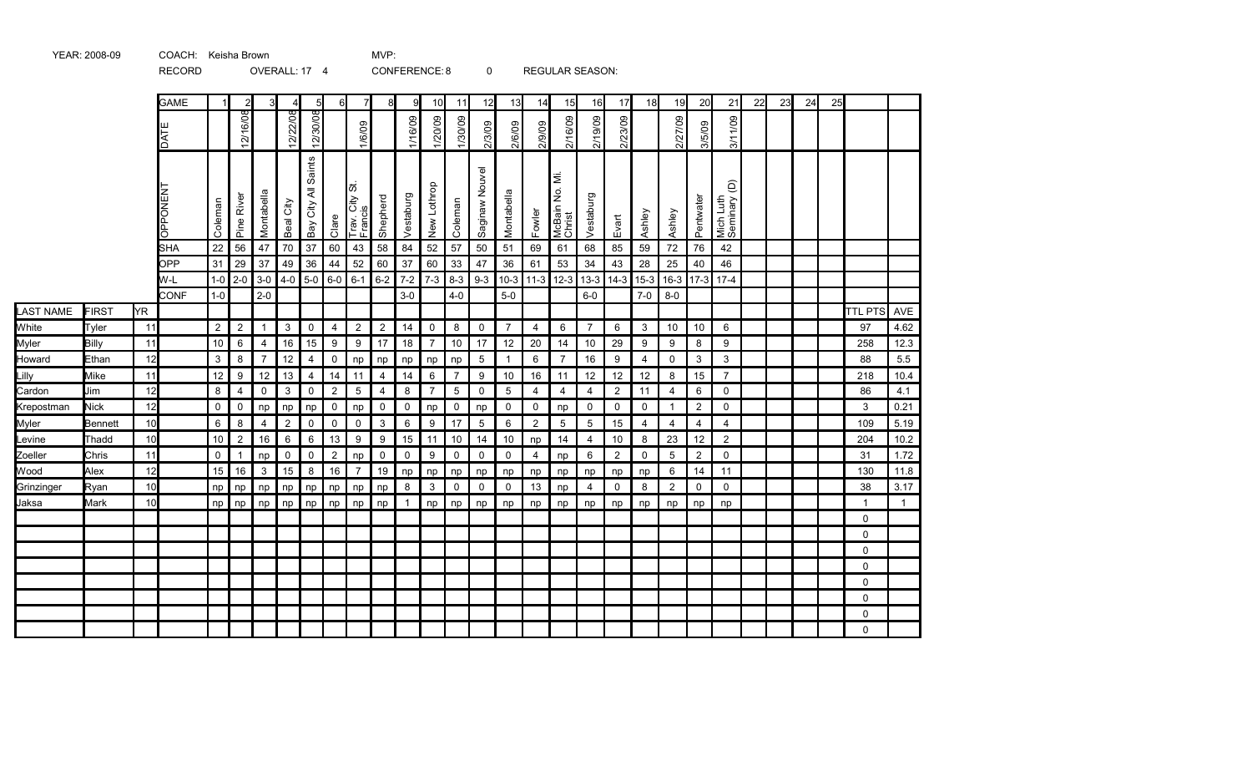|                  |              |                 | <b>NLCOND</b>   |             |                | UVLIVALL. II   |                | $^+$                |                |                           |                | <b>CONFLINGL.O</b> |                |                | v              |                 |                |                          | NLOULAN JLAJUN. |         |             |                |                |                                             |    |    |    |    |                |      |
|------------------|--------------|-----------------|-----------------|-------------|----------------|----------------|----------------|---------------------|----------------|---------------------------|----------------|--------------------|----------------|----------------|----------------|-----------------|----------------|--------------------------|-----------------|---------|-------------|----------------|----------------|---------------------------------------------|----|----|----|----|----------------|------|
|                  |              |                 | <b>GAME</b>     |             | $\overline{c}$ | 3              | 4              | 5                   | 6              | 7                         | 8              | 9                  | 10             | 11             | 12             | 13              | 14             | 15                       | 16              | 17      | 18          | 19             | 20             | 21                                          | 22 | 23 | 24 | 25 |                |      |
|                  |              |                 | DATI            |             | 12/16/08       |                | 12/22/08       | 12/30/08            |                | 1/6/09                    |                | 1/16/09            | 1/20/09        | 1/30/09        | 2/3/09         | 2/6/09          | 2/9/09         | 2/16/09                  | 2/19/09         | 2/23/09 |             | 2/27/09        | 3/5/09         | 3/11/09                                     |    |    |    |    |                |      |
|                  |              |                 | <b>OPPONENT</b> | Coleman     | Pine River     | Montabella     | Beal City      | Bay City All Saints | Clare          | Trav. City St.<br>Francis | Shepherd       | Vestaburg          | New Lothrop    | Coleman        | Saginaw Nouvel | Montabella      | Fowler         | McBain No. Mi.<br>Christ | Vestaburg       | Evart   | Ashley      | Ashley         | Pentwater      | $\widehat{\Theta}$<br>Mich Luth<br>Seminary |    |    |    |    |                |      |
|                  |              |                 | <b>SHA</b>      | 22          | 56             | 47             | 70             | 37                  | 60             | 43                        | 58             | 84                 | 52             | 57             | 50             | 51              | 69             | 61                       | 68              | 85      | 59          | 72             | 76             | 42                                          |    |    |    |    |                |      |
|                  |              |                 | OPP             | 31          | 29             | 37             | 49             | 36                  | 44             | 52                        | 60             | 37                 | 60             | 33             | 47             | 36              | 61             | 53                       | 34              | 43      | 28          | 25             | 40             | 46                                          |    |    |    |    |                |      |
|                  |              |                 | W-L             | $1-0$       | $2-0$          | $3-0$          | $4-0$          | $5-0$               | $6-0$          | $6 - 1$                   | $6 - 2$        | $7-2$              | $7 - 3$        | $8 - 3$        | $9 - 3$        | $10-3$          | $11-3$         | $12-3$                   | $13-3$          | $14-3$  | $15-3$      | $16-3$         |                | $17-3$ 17-4                                 |    |    |    |    |                |      |
|                  |              |                 | <b>CONF</b>     | $1-0$       |                | $2 - 0$        |                |                     |                |                           |                | $3-0$              |                | $4 - 0$        |                | $5-0$           |                |                          | $6-0$           |         | $7-0$       | $8-0$          |                |                                             |    |    |    |    |                |      |
| <b>LAST NAME</b> | <b>FIRST</b> | YR.             |                 |             |                |                |                |                     |                |                           |                |                    |                |                |                |                 |                |                          |                 |         |             |                |                |                                             |    |    |    |    | <b>TTL PTS</b> | AVE  |
| White            | Tyler        | 11              |                 | 2           | $\overline{2}$ | $\mathbf{1}$   | 3              | $\mathbf 0$         | $\overline{4}$ | $\overline{2}$            | $\overline{2}$ | 14                 | 0              | 8              | $\mathbf 0$    | $\overline{7}$  | $\overline{4}$ | 6                        | $\overline{7}$  | 6       | 3           | 10             | 10             | 6                                           |    |    |    |    | 97             | 4.62 |
| Myler            | Billy        | 11              |                 | 10          | 6              | $\overline{4}$ | 16             | 15                  | 9              | $\boldsymbol{9}$          | 17             | 18                 | $\overline{7}$ | 10             | 17             | 12              | 20             | 14                       | 10              | 29      | 9           | 9              | 8              | 9                                           |    |    |    |    | 258            | 12.3 |
| Howard           | Ethan        | 12              |                 | 3           | 8              | $\overline{7}$ | 12             | 4                   | 0              | np                        | np             | np                 | np             | np             | $\overline{5}$ | $\mathbf{1}$    | 6              | $\overline{7}$           | 16              | 9       | 4           | 0              | 3              | 3                                           |    |    |    |    | 88             | 5.5  |
| Lilly            | Mike         | 11              |                 | 12          | 9              | 12             | 13             | $\overline{4}$      | 14             | 11                        | $\overline{4}$ | 14                 | 6              | $\overline{7}$ | 9              | 10              | 16             | 11                       | 12              | 12      | 12          | 8              | 15             | $\overline{7}$                              |    |    |    |    | 218            | 10.4 |
| Cardon           | Jim          | 12              |                 | 8           | $\overline{4}$ | $\mathbf 0$    | 3              | $\mathbf 0$         | $\overline{2}$ | $\overline{5}$            | $\overline{4}$ | 8                  | $\overline{7}$ | 5              | $\mathbf 0$    | $5\phantom{.0}$ | $\overline{4}$ | $\overline{4}$           | 4               | 2       | 11          | $\overline{4}$ | 6              | $\mathbf 0$                                 |    |    |    |    | 86             | 4.1  |
| Krepostman       | <b>Nick</b>  | 12              |                 | $\mathbf 0$ | $\pmb{0}$      | np             | np             | np                  | $\mathsf 0$    | np                        | $\pmb{0}$      | $\mathbf 0$        | np             | $\mathbf 0$    | np             | $\mathsf{O}$    | 0              | np                       | 0               | 0       | $\mathbf 0$ | $\mathbf{1}$   | $\overline{c}$ | $\mathbf 0$                                 |    |    |    |    | 3              | 0.21 |
| Myler            | Bennett      | 10 <sup>1</sup> |                 | 6           | 8              | $\overline{4}$ | $\overline{2}$ | $\mathbf 0$         | $\pmb{0}$      | $\pmb{0}$                 | $\mathbf{3}$   | 6                  | 9              | 17             | 5              | 6               | $\overline{2}$ | $\overline{5}$           | 5               | 15      | 4           | 4              | 4              | 4                                           |    |    |    |    | 109            | 5.19 |
| Levine           | Thadd        | 10              |                 | 10          | $\overline{2}$ | 16             | 6              | 6                   | 13             | 9                         | 9              | 15                 | 11             | 10             | 14             | 10              | np             | 14                       | 4               | 10      | 8           | 23             | 12             | $\overline{2}$                              |    |    |    |    | 204            | 10.2 |
| Zoeller          | Chris        | 11              |                 | $\mathbf 0$ | $\mathbf{1}$   | np             | $\mathbf 0$    | $\mathbf 0$         | $\sqrt{2}$     | np                        | $\mathbf 0$    | $\mathbf 0$        | 9              | $\mathbf 0$    | $\mathbf 0$    | $\mathsf{O}$    | $\overline{4}$ | np                       | 6               | 2       | $\Omega$    | 5              | $\overline{2}$ | $\mathbf 0$                                 |    |    |    |    | 31             | 1.72 |
| Wood             | Alex         | 12              |                 | 15          | 16             | $\mathbf{3}$   | 15             | 8                   | 16             | $\overline{7}$            | 19             | np                 | np             | np             | np             | np              | np             | np                       | np              | np      | np          | 6              | 14             | 11                                          |    |    |    |    | 130            | 11.8 |
| Grinzinger       | Ryan         | 10              |                 | np          | np             | np             | np             | np                  | np             | np                        | np             | 8                  | 3              | 0              | 0              | 0               | 13             | np                       | 4               | 0       | 8           | $\overline{2}$ | $\mathbf 0$    | $\mathbf 0$                                 |    |    |    |    | 38             | 3.17 |
| Jaksa            | Mark         | 10 <sup>l</sup> |                 | np          | np             | np             | np             | np                  | np             | np                        | np             | $\overline{1}$     | np             | np             | np             | np              | np             | np                       | np              | np      | np          | np             | np             | np                                          |    |    |    |    | $\overline{1}$ | 1    |
|                  |              |                 |                 |             |                |                |                |                     |                |                           |                |                    |                |                |                |                 |                |                          |                 |         |             |                |                |                                             |    |    |    |    | $\mathbf{0}$   |      |
|                  |              |                 |                 |             |                |                |                |                     |                |                           |                |                    |                |                |                |                 |                |                          |                 |         |             |                |                |                                             |    |    |    |    | $\mathbf 0$    |      |
|                  |              |                 |                 |             |                |                |                |                     |                |                           |                |                    |                |                |                |                 |                |                          |                 |         |             |                |                |                                             |    |    |    |    | $\mathbf 0$    |      |
|                  |              |                 |                 |             |                |                |                |                     |                |                           |                |                    |                |                |                |                 |                |                          |                 |         |             |                |                |                                             |    |    |    |    | $\mathbf{0}$   |      |
|                  |              |                 |                 |             |                |                |                |                     |                |                           |                |                    |                |                |                |                 |                |                          |                 |         |             |                |                |                                             |    |    |    |    | $\mathbf 0$    |      |
|                  |              |                 |                 |             |                |                |                |                     |                |                           |                |                    |                |                |                |                 |                |                          |                 |         |             |                |                |                                             |    |    |    |    | $\mathbf 0$    |      |
|                  |              |                 |                 |             |                |                |                |                     |                |                           |                |                    |                |                |                |                 |                |                          |                 |         |             |                |                |                                             |    |    |    |    | $\mathbf 0$    |      |
|                  |              |                 |                 |             |                |                |                |                     |                |                           |                |                    |                |                |                |                 |                |                          |                 |         |             |                |                |                                             |    |    |    |    | $\Omega$       |      |

## YEAR: 2008-09 COACH: Keisha Brown MVP: RECORD OVERALL: 17 4 CONFERENCE: 8 0 REGULAR SEASON: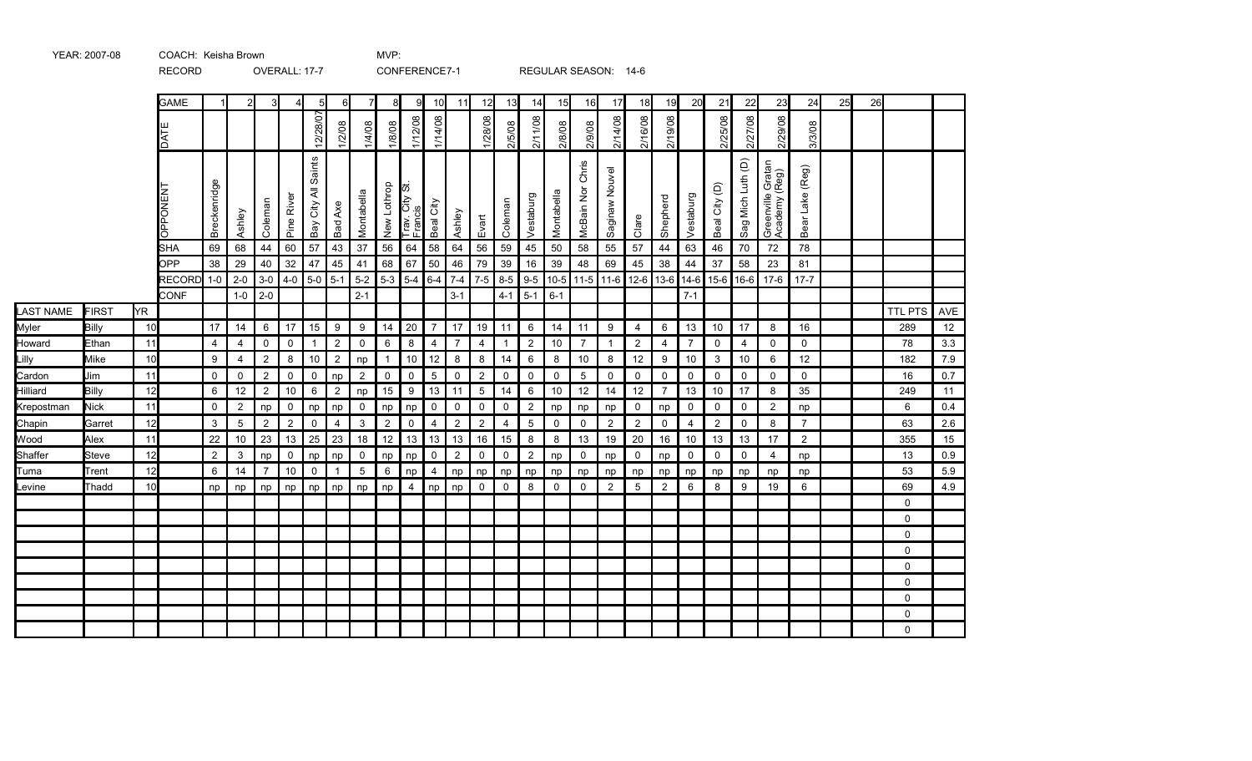|                  |              |                 | <b>GAME</b>                  |                 | $\overline{2}$   |                |                | 5                                                        | 6              | 7                | 8              | q                         | 10              | 11                 | 12             | 13           | 14             | 15                      | 16               | 17             | 18               | 19             | 20                | 21             | 22                | 23                                 | 24              | 25 | 26 |                |            |
|------------------|--------------|-----------------|------------------------------|-----------------|------------------|----------------|----------------|----------------------------------------------------------|----------------|------------------|----------------|---------------------------|-----------------|--------------------|----------------|--------------|----------------|-------------------------|------------------|----------------|------------------|----------------|-------------------|----------------|-------------------|------------------------------------|-----------------|----|----|----------------|------------|
|                  |              |                 | DATE                         |                 |                  |                |                | 12/28/07                                                 | /2/08          | 1/4/08           | 1/8/08         | 1/12/08                   | 1/14/08         |                    | 1/28/08        | 2/5/08       | 2/11/08        | 2/8/08                  | 2/9/08           | 2/14/08        | 2/16/08          | 2/19/08        |                   | 2/25/08        | 2/27/08           | 2/29/08                            | 3/3/08          |    |    |                |            |
|                  |              |                 | OPPONENT                     | Breckenridge    | Ashley           | Coleman        | Pine River     | Saints<br>$\overline{\overline{\mathbf{z}}}$<br>Bay City | <b>Bad Axe</b> | Montabella       | New Lothrop    | Trav. City St.<br>Francis | Beal City       | Ashley             | Evart          | Coleman      | Vestaburg      | Montabella              | McBain Nor Chris | Saginaw Nouvel | Clare            | Shepherd       | Vestaburg         | Beal City (D)  | Sag Mich Luth (D) | Greenville Gratan<br>Academy (Reg) | Bear Lake (Reg) |    |    |                |            |
|                  |              |                 | SHA                          | 69              | 68               | 44             | 60             | 57                                                       | 43             | 37               | 56             | 64                        | 58              | 64                 | 56             | 59           | 45             | 50                      | 58               | 55             | 57               | 44             | 63                | 46             | 70                | 72                                 | 78              |    |    |                |            |
|                  |              |                 | OPP                          | 38              | 29               | 40             | 32             | 47                                                       | 45             | 41               | 68             | 67                        | 50              | 46                 | 79             | 39           | 16             | 39                      | 48               | 69             | 45               | 38             | 44                | 37             | 58                | 23                                 | 81              |    |    |                |            |
|                  |              |                 | <b>RECORD</b><br><b>CONF</b> | $1-0$           | $2 - 0$<br>$1-0$ | $3-0$<br>$2-0$ | $4-0$          | $5-0$                                                    | $5 - 1$        | $5-2$<br>$2 - 1$ | $5-3$          | $5-4$                     | $6 - 4$         | $7 - 4$<br>$3 - 1$ | $7-5$          | $4 - 1$      | $5-1$          | 8-5 9-5 10-5<br>$6 - 1$ | $11-5$           | $11-6$         | 12-6             | 13-6           | $14-6$<br>$7 - 1$ | $15-6$         | $ 16-6 $          | $17-6$                             | $17 - 7$        |    |    |                |            |
| <b>LAST NAME</b> | <b>FIRST</b> | YR.             |                              |                 |                  |                |                |                                                          |                |                  |                |                           |                 |                    |                |              |                |                         |                  |                |                  |                |                   |                |                   |                                    |                 |    |    | <b>TTL PTS</b> | <b>AVE</b> |
| Myler            | Billy        | 10 <sup>1</sup> |                              | 17              | 14               | 6              | 17             | 15                                                       | 9              | $\boldsymbol{9}$ | 14             | 20                        | $\overline{7}$  | 17                 | 19             | 11           | 6              | 14                      | 11               | 9              | 4                | 6              | 13                | 10             | 17                | 8                                  | 16              |    |    | 289            | 12         |
| Howard           | Ethan        | 11              |                              | $\overline{4}$  | 4                | $\mathbf 0$    | $\mathbf 0$    | $\mathbf{1}$                                             | $\overline{2}$ | $\mathsf 0$      | 6              | 8                         | $\overline{4}$  | $\overline{7}$     | $\overline{4}$ | $\mathbf{1}$ | $\overline{2}$ | 10                      | $\overline{7}$   | $\mathbf{1}$   | $\overline{2}$   | $\overline{4}$ | $\overline{7}$    | $\mathbf 0$    | $\overline{4}$    | $\mathbf 0$                        | $\mathbf 0$     |    |    | 78             | 3.3        |
| Lilly            | Mike         | 10              |                              | 9               | 4                | $\overline{2}$ | 8              | $10$                                                     | $\overline{2}$ | np               | $\overline{1}$ | $10$                      | 12              | 8                  | 8              | 14           | 6              | 8                       | 10               | 8              | $12$             | 9              | 10                | 3              | 10                | 6                                  | 12              |    |    | 182            | 7.9        |
| Cardon           | Jim          | 11              |                              | 0               | 0                | $\overline{2}$ | 0              | 0                                                        | np             | $\overline{2}$   | $\mathsf 0$    | $\mathsf 0$               | $5\phantom{.0}$ | 0                  | $\overline{2}$ | 0            | 0              | 0                       | $5\overline{)}$  | $\mathsf{O}$   | 0                | 0              | $\mathbf 0$       | 0              | 0                 | 0                                  | 0               |    |    | 16             | 0.7        |
| Hilliard         | Billy        | 12              |                              | 6               | 12               | $\overline{2}$ | 10             | 6                                                        | $\overline{2}$ | np               | 15             | $\boldsymbol{9}$          | 13              | 11                 | $\overline{5}$ | 14           | 6              | 10                      | 12               | 14             | 12               | $\overline{7}$ | 13                | 10             | 17                | 8                                  | 35              |    |    | 249            | 11         |
| Krepostman       | <b>Nick</b>  | 11              |                              | $\mathbf 0$     | 2                | np             | $\mathbf 0$    | np                                                       | np             | $\mathbf 0$      | np             | np                        | $\mathsf 0$     | $\mathsf{O}$       | $\mathsf{O}$   | $\mathbf 0$  | $\overline{c}$ | np                      | np               | np             | $\mathbf 0$      | np             | $\mathbf 0$       | 0              | $\mathbf 0$       | $\overline{2}$                     | np              |    |    | 6              | 0.4        |
| Chapin           | Garret       | 12              |                              | 3               | 5                | $\overline{2}$ | $\overline{2}$ | 0                                                        | $\overline{4}$ | $\mathbf{3}$     | $\overline{2}$ | $\pmb{0}$                 | $\overline{4}$  | $\overline{a}$     | $\overline{2}$ | 4            | $\mathbf 5$    | 0                       | 0                | $\mathbf{2}$   | $\boldsymbol{2}$ | $\mathbf 0$    | $\overline{4}$    | $\overline{2}$ | 0                 | 8                                  | $\overline{7}$  |    |    | 63             | 2.6        |
| Wood             | Alex         | 11              |                              | 22              | 10               | 23             | 13             | 25                                                       | 23             | 18               | $12$           | 13                        | 13              | 13                 | 16             | 15           | 8              | 8                       | 13               | 19             | 20               | 16             | 10                | 13             | 13                | 17                                 | $\overline{c}$  |    |    | 355            | 15         |
| Shaffer          | Steve        | 12              |                              | $\overline{2}$  | 3                | np             | $\mathbf 0$    | np                                                       | np             | $\mathbf 0$      | np             | np                        | $\mathsf 0$     | $\overline{2}$     | 0              | 0            | $\overline{c}$ | np                      | 0                | np             | $\mathsf 0$      | np             | $\mathbf 0$       | $\mathbf 0$    | $\mathbf 0$       | 4                                  | np              |    |    | 13             | 0.9        |
| Tuma             | Trent        | 12              |                              | $6\phantom{1}6$ | 14               | $\overline{7}$ | 10             | $\mathbf 0$                                              | $\overline{1}$ | $5\phantom{.0}$  | 6              | np                        | $\overline{4}$  | np                 | np             | np           | np             | np                      | np               | np             | np               | np             | np                | np             | np                | np                                 | np              |    |    | 53             | 5.9        |
| Levine           | Thadd        | 10              |                              | np              | np               | np             | np             | np                                                       | np             | np               | np             | $\overline{4}$            | np              | np                 | $\mathbf 0$    | $\mathbf 0$  | 8              | $\mathbf 0$             | 0                | 2              | 5                | 2              | 6                 | 8              | 9                 | 19                                 | 6               |    |    | 69             | 4.9        |
|                  |              |                 |                              |                 |                  |                |                |                                                          |                |                  |                |                           |                 |                    |                |              |                |                         |                  |                |                  |                |                   |                |                   |                                    |                 |    |    | 0              |            |
|                  |              |                 |                              |                 |                  |                |                |                                                          |                |                  |                |                           |                 |                    |                |              |                |                         |                  |                |                  |                |                   |                |                   |                                    |                 |    |    | 0              |            |
|                  |              |                 |                              |                 |                  |                |                |                                                          |                |                  |                |                           |                 |                    |                |              |                |                         |                  |                |                  |                |                   |                |                   |                                    |                 |    |    | $\Omega$       |            |
|                  |              |                 |                              |                 |                  |                |                |                                                          |                |                  |                |                           |                 |                    |                |              |                |                         |                  |                |                  |                |                   |                |                   |                                    |                 |    |    | 0              |            |
|                  |              |                 |                              |                 |                  |                |                |                                                          |                |                  |                |                           |                 |                    |                |              |                |                         |                  |                |                  |                |                   |                |                   |                                    |                 |    |    | 0              |            |
|                  |              |                 |                              |                 |                  |                |                |                                                          |                |                  |                |                           |                 |                    |                |              |                |                         |                  |                |                  |                |                   |                |                   |                                    |                 |    |    | $\Omega$       |            |
|                  |              |                 |                              |                 |                  |                |                |                                                          |                |                  |                |                           |                 |                    |                |              |                |                         |                  |                |                  |                |                   |                |                   |                                    |                 |    |    | $\Omega$       |            |
|                  |              |                 |                              |                 |                  |                |                |                                                          |                |                  |                |                           |                 |                    |                |              |                |                         |                  |                |                  |                |                   |                |                   |                                    |                 |    |    | $\Omega$       |            |
|                  |              |                 |                              |                 |                  |                |                |                                                          |                |                  |                |                           |                 |                    |                |              |                |                         |                  |                |                  |                |                   |                |                   |                                    |                 |    |    | $\Omega$       |            |

## YEAR: 2007-08 COACH: Keisha Brown MVP: RECORD OVERALL: 17-7 CONFERENCE7-1 REGULAR SEASON: 14-6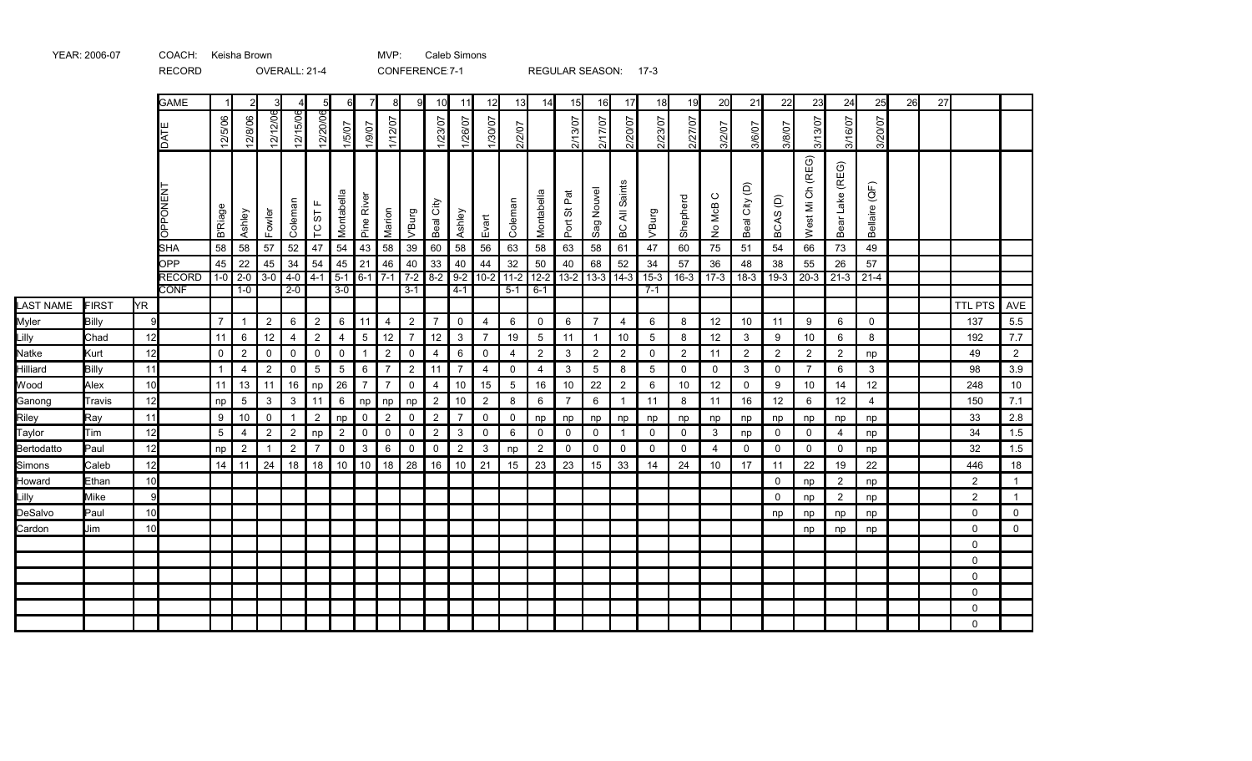|                  |        |           | <b>RECORD</b>                |                |                           | OVERALL: 21-4  |                |                 |                          |                 |                |                     | CONFERENCE: 7-1     |                |                   |                |                | REGULAR SEASON: 17-3              |                 |                   |              |                |                   |                         |                |                  |                    |                |    |    |                |                |
|------------------|--------|-----------|------------------------------|----------------|---------------------------|----------------|----------------|-----------------|--------------------------|-----------------|----------------|---------------------|---------------------|----------------|-------------------|----------------|----------------|-----------------------------------|-----------------|-------------------|--------------|----------------|-------------------|-------------------------|----------------|------------------|--------------------|----------------|----|----|----------------|----------------|
|                  |        |           | <b>GAME</b>                  | $\vert$ 1      |                           | 3              |                | 5               | 6                        | $\overline{7}$  | 8              | 9                   | 10                  | 11             | 12                | 13             | 14             | 15                                | 16              | 17                | 18           | 19             | 20                | 21                      | 22             | 23               | 24                 | 25             | 26 | 27 |                |                |
|                  |        |           | DATE                         | 12/5/06        | 12/8/06                   | 12/12/06       | 5/06<br>12/15  | 12/20/06        | 1/5/07                   | 1/9/07          | 1/12/07        |                     | 1/23/07             | 1/26/07        | 1/30/07           | 2/2/07         |                | 2/13/07                           | 2/17/07         | 2/20/07           | 2/23/07      | 2/27/07        | 3/2/07            | 3/6/07                  | 3/8/07         | 3/13/07          | 3/16/07            | 3/20/07        |    |    |                |                |
|                  |        |           | <b>ONENT</b><br>ह            | <b>B'Riage</b> | Ashley                    | Fowler         | Coleman        | ட<br>TC ST      | Montabella               | Pine River      | Marion         | V'Burg              | Gity<br>Beal        | Ashley         | Evart             | Coleman        | Montabella     | $\overline{\vec{E}}$<br>の<br>Port | Nouvel<br>Sag   | Saints<br>₹<br>6C | V'Burg       | Shepherd       | $\circ$<br>No McB | City (D)<br><b>Beal</b> | BCAS(D)        | West Mi Ch (REG) | Lake (REG)<br>Bear | Bellaire (QF)  |    |    |                |                |
|                  |        |           | <b>SHA</b>                   | 58             | 58                        | 57             | 52             | 47              | 54                       | 43              | 58             | 39                  | 60                  | 58             | 56                | 63             | 58             | 63                                | 58              | 61                | 47           | 60             | 75                | 51                      | 54             | 66               | 73                 | 49             |    |    |                |                |
|                  |        |           | OPP                          |                | $45 \mid 22$<br>$1-0$ 2-0 | 45<br>$3-0$    | 34<br>$4-0$    | 54<br>$4-1$     | $45$ 21<br>$5-1$ 6-1 7-1 |                 | 46             | 40                  | 33<br>$7-2$ 8-2 9-2 | 40             | 44<br>$10-2$ 11-2 | $32\,$         | 50             | 40<br>12-2 13-2 13-3 14-3         | 68              | 52                | 34<br>$15-3$ | 57             | 36                | 48                      | 38             | 55               | 26                 | 57             |    |    |                |                |
|                  |        |           | <b>RECORD</b><br><b>CONF</b> |                | $1-0$                     |                | $2 - 0$        |                 | $3 - 0$                  |                 |                | $3 - 1$             |                     | $4 - 1$        |                   | $5 - 1$        | $6 - 1$        |                                   |                 |                   | $7 - 1$      | $16-3$         | $17-3$            | $18-3$                  | $19-3$         | $20-3$           | $21-3$ 21-4        |                |    |    |                |                |
| <b>LAST NAME</b> | FIRST  | <b>YR</b> |                              |                |                           |                |                |                 |                          |                 |                |                     |                     |                |                   |                |                |                                   |                 |                   |              |                |                   |                         |                |                  |                    |                |    |    | <b>TTL PTS</b> | AVE            |
| Myler            | Billy  | 9         |                              | $\overline{7}$ | $\overline{1}$            | $\overline{2}$ | 6              | $\overline{2}$  | 6                        | $\vert$ 11      | 4              | $\overline{2}$      | $\overline{7}$      | $\mathbf 0$    | $\overline{4}$    | 6              | $\mathbf 0$    | 6                                 | $\overline{7}$  | $\overline{4}$    | 6            | 8              | 12                | 10                      | 11             | 9                | 6                  | $\mathbf 0$    |    |    | 137            | 5.5            |
| Lilly            | Chad   | 12        |                              | 11             | 6                         | 12             | $\overline{4}$ | $\overline{2}$  | $\overline{4}$           | $5\phantom{.0}$ | 12             | $\overline{7}$      | 12                  | $\mathbf{3}$   | $\overline{7}$    | 19             | 5              | 11                                | $\overline{1}$  | 10                | 5            | 8              | 12                | 3                       | 9              | 10               | 6                  | 8              |    |    | 192            | 7.7            |
| Natke            | Kurt   | 12        |                              | $\mathbf 0$    | $\overline{2}$            | $\mathbf 0$    | $\mathbf 0$    | $\mathbf 0$     | $\mathsf{O}$             | $\overline{1}$  | $\sqrt{2}$     | $\mathsf 0$         | 4                   | 6              | $\overline{0}$    | 4              | $\overline{2}$ | 3                                 | $\overline{2}$  | 2                 | $\mathsf{O}$ | $\overline{2}$ | 11                | $\overline{2}$          | 2              | $\overline{2}$   | $\overline{2}$     | np             |    |    | 49             | $\overline{2}$ |
| Hilliard         | Billy  | 11        |                              | $\mathbf{1}$   | $\overline{4}$            | $\overline{2}$ | $\mathbf 0$    | $5\phantom{.0}$ | $5\phantom{.0}$          | $6\phantom{1}$  | $\overline{7}$ | $\overline{2}$      | 11                  | $\overline{7}$ | $\overline{4}$    | $\Omega$       | $\overline{4}$ | 3                                 | $5\overline{5}$ | 8                 | 5            | $\mathbf 0$    | $\Omega$          | 3                       | $\overline{0}$ | $\overline{7}$   | 6                  | 3              |    |    | 98             | 3.9            |
| Wood             | Alex   | 10        |                              | 11             | 13                        | 11             | 16             | np              | 26                       | $\overline{7}$  | $\overline{7}$ | $\mathsf{O}\xspace$ | $\overline{4}$      | 10             | 15                | $\overline{5}$ | 16             | 10                                | 22              | $\overline{2}$    | 6            | 10             | 12                | $\mathsf{O}$            | 9              | 10               | 14                 | 12             |    |    | 248            | 10             |
| Ganong           | Travis | 12        |                              | np             | 5                         | 3              | $\mathbf{3}$   | 11              | 6                        | np              | np             | np                  | $\overline{2}$      | 10             | $\overline{2}$    | 8              | 6              | $\overline{7}$                    | 6               | $\overline{1}$    | 11           | 8              | 11                | 16                      | 12             | 6                | 12                 | $\overline{4}$ |    |    | 150            | $7.1$          |
| Riley            | Ray    | 11        |                              | 9              | 10                        | $\mathbf 0$    | $\overline{1}$ | $\overline{2}$  | np                       | $\mathsf 0$     | $\overline{2}$ | $\mathsf 0$         | $\overline{2}$      | $\overline{7}$ | $\overline{0}$    | $\mathbf 0$    | np             | np                                | np              | np                | np           | np             | np                | np                      | np             | np               | np                 | np             |    |    | 33             | 2.8            |
| Taylor           | Tim    | 12        |                              | 5 <sup>5</sup> | $\overline{4}$            | $\overline{2}$ | $\overline{2}$ | np              | 2                        | $\mathsf 0$     | $\mathbf 0$    | $\mathsf{O}$        | $\overline{2}$      | $\mathbf{3}$   | $\overline{0}$    | 6              | $\mathbf 0$    | $\mathbf 0$                       | $\mathbf 0$     | $\overline{1}$    | $\mathbf 0$  | $\mathbf 0$    | $\mathbf{3}$      | np                      | $\mathbf 0$    | $\mathbf 0$      | $\overline{4}$     | np             |    |    | 34             | 1.5            |
| Bertodatto       | Paul   | 12        |                              | np             | $\overline{c}$            | $\mathbf{1}$   | $\overline{2}$ | $\overline{7}$  | 0                        | $\mathbf{3}$    | 6              | 0                   | $\mathsf{O}$        | $\overline{2}$ | $\overline{3}$    | np             | $\overline{2}$ | $\mathbf 0$                       | $\Omega$        | $\mathbf 0$       | $\mathbf 0$  | 0              | $\overline{4}$    | $\mathbf 0$             | $\overline{0}$ | $\mathbf 0$      | $\mathbf 0$        | np             |    |    | 32             | 1.5            |
| Simons           | Caleb  | 12        |                              |                | $14$ 11                   | 24             | 18             | 18              |                          | 10 10           | 18             | 28                  | 16                  | 10             | 21                | 15             | 23             | 23                                | 15              | 33                | 14           | 24             | $10$              | 17                      | 11             | 22               | 19                 | 22             |    |    | 446            | 18             |
| Howard           | Ethan  | 10        |                              |                |                           |                |                |                 |                          |                 |                |                     |                     |                |                   |                |                |                                   |                 |                   |              |                |                   |                         | $\mathbf 0$    | np               | $\overline{2}$     | np             |    |    | $\overline{2}$ | $\overline{1}$ |
| Lilly            | Mike   | 9         |                              |                |                           |                |                |                 |                          |                 |                |                     |                     |                |                   |                |                |                                   |                 |                   |              |                |                   |                         | $\Omega$       | np               | $\overline{2}$     | np             |    |    | $\overline{2}$ | $\mathbf{1}$   |
| DeSalvo          | Paul   | 10        |                              |                |                           |                |                |                 |                          |                 |                |                     |                     |                |                   |                |                |                                   |                 |                   |              |                |                   |                         | np             | np               | np                 | np             |    |    | $\mathbf{0}$   | $\overline{0}$ |
| Cardon           | Jim    | 10        |                              |                |                           |                |                |                 |                          |                 |                |                     |                     |                |                   |                |                |                                   |                 |                   |              |                |                   |                         |                | np               | np                 | np             |    |    | $\Omega$       | $\mathbf 0$    |
|                  |        |           |                              |                |                           |                |                |                 |                          |                 |                |                     |                     |                |                   |                |                |                                   |                 |                   |              |                |                   |                         |                |                  |                    |                |    |    | $\Omega$       |                |
|                  |        |           |                              |                |                           |                |                |                 |                          |                 |                |                     |                     |                |                   |                |                |                                   |                 |                   |              |                |                   |                         |                |                  |                    |                |    |    | $\mathbf{0}$   |                |
|                  |        |           |                              |                |                           |                |                |                 |                          |                 |                |                     |                     |                |                   |                |                |                                   |                 |                   |              |                |                   |                         |                |                  |                    |                |    |    | $\mathbf{0}$   |                |
|                  |        |           |                              |                |                           |                |                |                 |                          |                 |                |                     |                     |                |                   |                |                |                                   |                 |                   |              |                |                   |                         |                |                  |                    |                |    |    | $\mathbf 0$    |                |
|                  |        |           |                              |                |                           |                |                |                 |                          |                 |                |                     |                     |                |                   |                |                |                                   |                 |                   |              |                |                   |                         |                |                  |                    |                |    |    | $\mathbf{0}$   |                |
|                  |        |           |                              |                |                           |                |                |                 |                          |                 |                |                     |                     |                |                   |                |                |                                   |                 |                   |              |                |                   |                         |                |                  |                    |                |    |    | $\Omega$       |                |

MVP: Caleb Simons

YEAR: 2006-07 COACH: Keisha Brown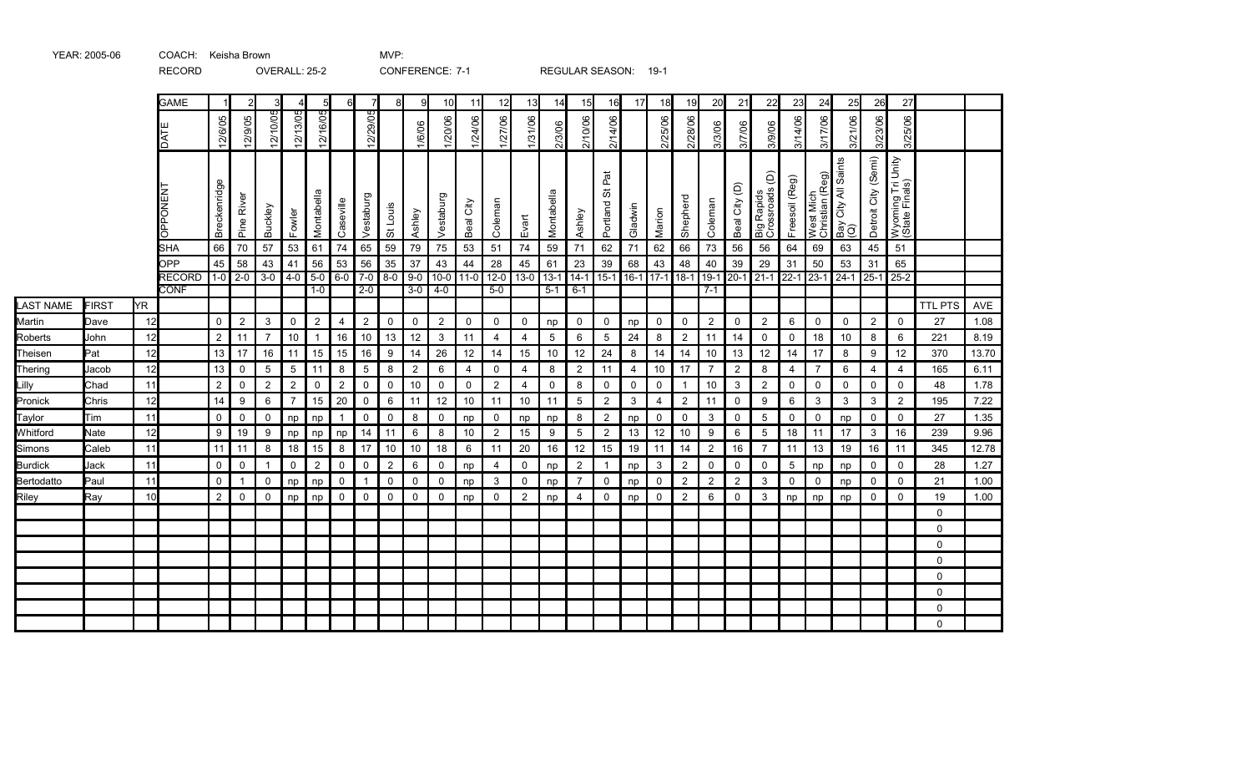|                |            |                 | <b>GAME</b>                 |                  |                 |                 | 4              | $5\overline{a}$         | 6l             |                | 8              | -9             | 10             | 11                | 12             | 13             | 14                          | 15             | 16                 | 17             | 18          | 19             | 20             | 21             | 22                                            | 23             | 24                           | 25                         | 26                  | 27                                  |                |       |
|----------------|------------|-----------------|-----------------------------|------------------|-----------------|-----------------|----------------|-------------------------|----------------|----------------|----------------|----------------|----------------|-------------------|----------------|----------------|-----------------------------|----------------|--------------------|----------------|-------------|----------------|----------------|----------------|-----------------------------------------------|----------------|------------------------------|----------------------------|---------------------|-------------------------------------|----------------|-------|
|                |            |                 | <b>DATE</b>                 | 12/6/05          | 12/9/05         | 12/10/05        | 12/13/05       | <u> 2/16/05</u>         |                | 12/29/05       |                | 1/6/06         | 1/20/06        | 1/24/06           | 1/27/06        | 1/31/06        | 2/3/06                      | 2/10/06        | 2/14/06            |                | 2/25/06     | 2/28/06        | 3/3/06         | 3/7/06         | 3/9/06                                        | 3/14/06        | 3/17/06                      | 3/21/06                    | 3/23/06             | 3/25/06                             |                |       |
|                |            |                 | <b>OPPONENT</b>             | Breckenridge     | Pine River      | Buckley         | Fowler         | Montabella              | Caseville      | Vestaburg      | St Louis       | Ashley         | Vestaburg      | Beal City         | Coleman        | Evart          | Montabella                  | Ashley         | ă<br>の<br>Portland | Gladwin        | Marion      | Shepherd       | Coleman        | Beal City (D)  | Big Rapids<br>Crossroads (D)                  | Freesoil (Reg) | West Mich<br>Christian (Reg) | Bay City All Saints<br>(Q) | Detroit City (Semi) | Wyoming Tri Unity<br>(State Finals) |                |       |
|                |            |                 | SHA                         | 66               | 70              | 57              | 53             | 61                      | 74             | 65             | 59             | 79             | 75             | 53                | 51             | 74             | 59                          | 71             | 62                 | 71             | 62          | 66             | 73             | 56             | 56                                            | 64             | 69                           | 63                         | 45                  | 51                                  |                |       |
|                |            |                 | <b>OPP</b><br><b>RECORD</b> | 45               | 58<br>$1-0$ 2-0 | 43<br>$3-0$     | 41             | 56<br>$4-0$ 5-0 6-0 7-0 | 53             | 56             | 35<br>$8-0$    | 37<br>$9-0$    | 43             | 44<br>$10-0$ 11-0 | 28             | 45             | 61<br>$12-0$ 13-0 13-1 14-1 | 23             | 39<br>$15-1$       | 68             | 43          | 48             | 40             | 39             | 29<br>16-1 17-1 18-1 19-1 20-1 21-1 22-1 23-1 | 31             | 50                           | 53<br>$24-1$               | 31<br>$25-1$        | 65<br>$25-2$                        |                |       |
|                |            |                 | <b>CONF</b>                 |                  |                 |                 |                | $1-0$                   |                | $2-0$          |                | $3-0$          | $4-0$          |                   | $5-0$          |                | $5 - 1$                     | $6 - 1$        |                    |                |             |                | $7 - 1$        |                |                                               |                |                              |                            |                     |                                     |                |       |
| LAST NAME      | FIRST      | <b>YR</b>       |                             |                  |                 |                 |                |                         |                |                |                |                |                |                   |                |                |                             |                |                    |                |             |                |                |                |                                               |                |                              |                            |                     |                                     | <b>TTL PTS</b> | AVE   |
| Martin         | Dave       | 12              |                             | $\mathsf{O}$     | $\overline{2}$  | 3               | $\mathsf{O}$   | $\overline{2}$          | 4              | $\overline{2}$ | $\mathbf 0$    | $\mathbf 0$    | $\overline{2}$ | $\mathbf 0$       | 0              | $\mathbf 0$    | np                          | $\mathbf 0$    | 0                  | np             | 0           | $\mathbf 0$    | $\overline{2}$ | 0              | $\overline{2}$                                | 6              | $\mathsf{O}$                 | 0                          | $\overline{2}$      | $\mathbf 0$                         | 27             | 1.08  |
| Roberts        | John       | 12              |                             | $\overline{2}$   | 11              | $\overline{7}$  | 10             | $\mathbf{1}$            | 16             | 10             | 13             | 12             | $\mathbf{3}$   | 11                | 4              | 4              | 5                           | 6              | 5                  | 24             | 8           | $\overline{2}$ | 11             | 14             | 0                                             | 0              | 18                           | 10                         | 8                   | 6                                   | 221            | 8.19  |
| Theisen        | <b>Pat</b> | 12              |                             | 13               | 17              | 16              | 11             | 15                      | 15             | 16             | 9              | 14             | 26             | 12                | 14             | 15             | 10                          | 12             | 24                 | 8              | 14          | 14             | 10             | 13             | 12                                            | 14             | 17                           | 8                          | 9                   | 12                                  | 370            | 13.70 |
| Thering        | Jacob      | 12              |                             | 13               | $\mathbf 0$     | $5\phantom{.0}$ | 5              | 11                      | 8              | 5              | 8              | $\overline{2}$ | 6              | $\overline{4}$    | $\mathbf 0$    | 4              | 8                           | $\overline{2}$ | 11                 | $\overline{4}$ | 10          | 17             | $\overline{7}$ | $\overline{2}$ | 8                                             | $\overline{4}$ | $\overline{7}$               | 6                          | $\overline{4}$      | 4                                   | 165            | 6.11  |
| Lilly          | Chad       | 11              |                             | $\boldsymbol{2}$ | $\pmb{0}$       | $\overline{2}$  | $\overline{2}$ | 0                       | $\overline{c}$ | $\mathbf 0$    | $\mathbf 0$    | 10             | 0              | $\mathbf 0$       | $\overline{c}$ | 4              | 0                           | 8              | 0                  | 0              | 0           | $\mathbf{1}$   | 10             | 3              | $\overline{2}$                                | 0              | 0                            | 0                          | 0                   | $\mathbf 0$                         | 48             | 1.78  |
| Pronick        | Chris      | 12              |                             | 14               | 9               | 6               | $7^{\circ}$    | 15                      | 20             | $\overline{0}$ | 6              | 11             | 12             | 10                | 11             | 10             | 11                          | $\overline{5}$ | $\overline{2}$     | 3              | 4           | $\overline{2}$ | 11             | 0              | 9                                             | 6              | 3                            | 3                          | 3                   | $\overline{2}$                      | 195            | 7.22  |
| Taylor         | Tim        | 11              |                             | $\mathbf 0$      | $\mathsf{O}$    | $\mathsf{O}$    | np             | np                      | $\mathbf{1}$   | $\mathbf 0$    | $\mathbf 0$    | 8              | $\mathsf{O}$   | np                | 0              | np             | np                          | 8              | $\overline{2}$     | np             | $\mathbf 0$ | 0              | 3              | 0              | 5                                             | 0              | $\mathsf{O}$                 | np                         | 0                   | $\mathbf 0$                         | 27             | 1.35  |
| Whitford       | Nate       | 12              |                             | 9                | 19              | 9               | np             | np                      | np             | 14             | 11             | 6              | 8              | 10                | $\overline{c}$ | 15             | 9                           | 5              | $\mathbf{2}$       | 13             | 12          | 10             | 9              | 6              | $\overline{5}$                                | 18             | 11                           | 17                         | 3                   | 16                                  | 239            | 9.96  |
| Simons         | Caleb      | 11              |                             | 11               | 11              | 8               | 18             | 15                      | 8              | 17             | 10             | 10             | 18             | 6                 | 11             | 20             | 16                          | 12             | 15                 | 19             | 11          | 14             | $\overline{2}$ | 16             | $\overline{7}$                                | 11             | 13                           | 19                         | 16                  | 11                                  | 345            | 12.78 |
| <b>Burdick</b> | Jack       | 11              |                             | 0                | $\mathbf 0$     | $\mathbf{1}$    | 0              | $\overline{2}$          | $\mathbf 0$    | 0              | $\overline{2}$ | 6              | $\mathsf{O}$   | np                | 4              | $\mathbf 0$    | np                          | $\overline{2}$ |                    | np             | 3           | $\overline{2}$ | 0              | 0              | 0                                             | $\overline{5}$ | np                           | np                         | 0                   | 0                                   | 28             | 1.27  |
| Bertodatto     | Paul       | 11              |                             | $\mathbf 0$      | 1               | 0               | np             | np                      | $\mathbf 0$    | -1             | $\mathbf 0$    | 0              | $\mathbf 0$    | np                | 3              | 0              | np                          | $\overline{7}$ | 0                  | np             | 0           | $\overline{2}$ | $\overline{2}$ | $\overline{2}$ | 3                                             | $\mathbf 0$    | $\mathbf 0$                  | np                         | $\mathbf 0$         | $\mathbf 0$                         | 21             | 1.00  |
| Riley          | Ray        | 10 <sup>1</sup> |                             | $\overline{2}$   | $\mathbf 0$     | $\mathbf 0$     | np             | np                      | $\mathbf 0$    | $\mathbf 0$    | $\mathbf 0$    | $\mathbf 0$    | $\mathbf 0$    | np                | $\mathbf 0$    | $\overline{2}$ | np                          | $\overline{4}$ | $\mathbf 0$        | np             | $\mathbf 0$ | $\overline{2}$ | 6              | $\mathbf 0$    | 3                                             | np             | np                           | np                         | $\mathbf 0$         | $\mathbf 0$                         | 19             | 1.00  |
|                |            |                 |                             |                  |                 |                 |                |                         |                |                |                |                |                |                   |                |                |                             |                |                    |                |             |                |                |                |                                               |                |                              |                            |                     |                                     | $\Omega$       |       |
|                |            |                 |                             |                  |                 |                 |                |                         |                |                |                |                |                |                   |                |                |                             |                |                    |                |             |                |                |                |                                               |                |                              |                            |                     |                                     | $\Omega$       |       |
|                |            |                 |                             |                  |                 |                 |                |                         |                |                |                |                |                |                   |                |                |                             |                |                    |                |             |                |                |                |                                               |                |                              |                            |                     |                                     | $\mathbf 0$    |       |
|                |            |                 |                             |                  |                 |                 |                |                         |                |                |                |                |                |                   |                |                |                             |                |                    |                |             |                |                |                |                                               |                |                              |                            |                     |                                     | $\Omega$       |       |
|                |            |                 |                             |                  |                 |                 |                |                         |                |                |                |                |                |                   |                |                |                             |                |                    |                |             |                |                |                |                                               |                |                              |                            |                     |                                     | 0              |       |
|                |            |                 |                             |                  |                 |                 |                |                         |                |                |                |                |                |                   |                |                |                             |                |                    |                |             |                |                |                |                                               |                |                              |                            |                     |                                     | $\Omega$       |       |
|                |            |                 |                             |                  |                 |                 |                |                         |                |                |                |                |                |                   |                |                |                             |                |                    |                |             |                |                |                |                                               |                |                              |                            |                     |                                     | 0              |       |
|                |            |                 |                             |                  |                 |                 |                |                         |                |                |                |                |                |                   |                |                |                             |                |                    |                |             |                |                |                |                                               |                |                              |                            |                     |                                     | 0              |       |

RECORD OVERALL: 25-2 CONFERENCE: 7-1 REGULAR SEASON: 19-1

YEAR: 2005-06 COACH: Keisha Brown MVP: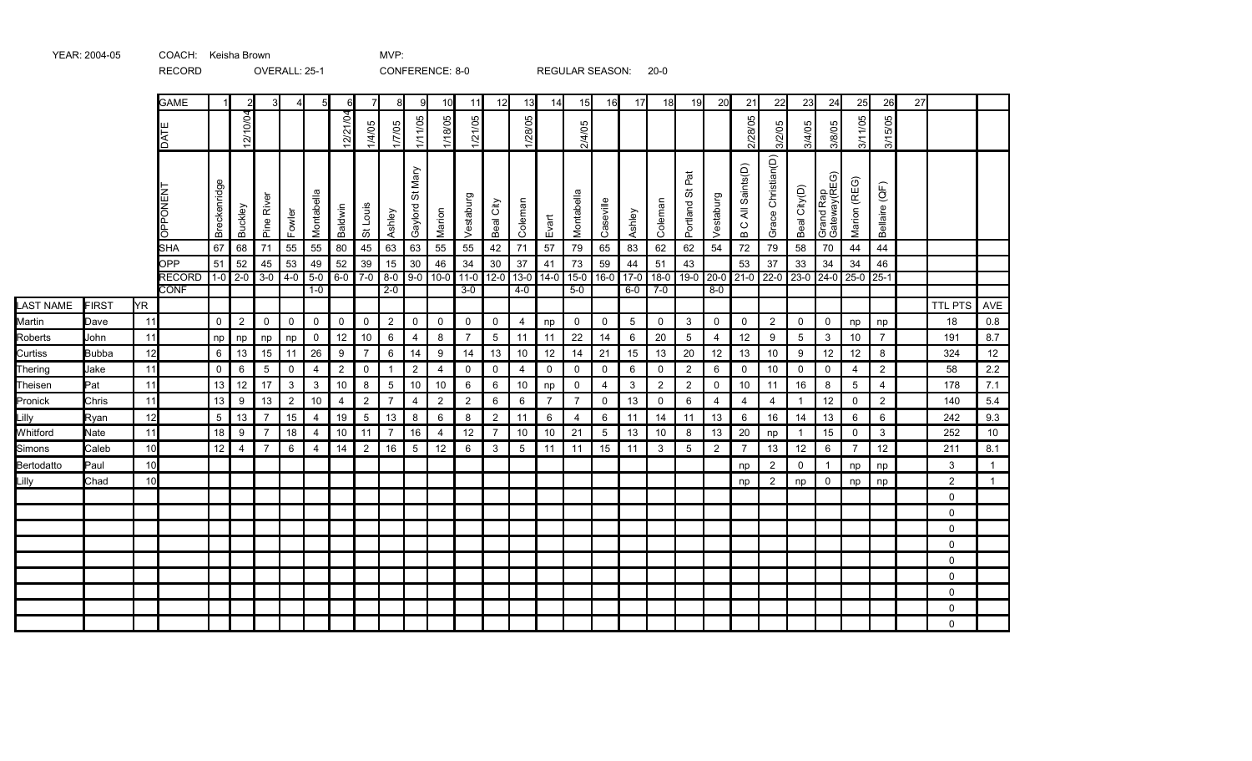|            |              |                 | <b>GAME</b>                  |              | $\overline{2}$ | 3 <sup>l</sup> |                |                | 6               | 7               | 8                | 9                  | 10             | 11              | 12             | 13              | 14             | 15              | 16              | 17              | 18             | 19                    | 20             | 21                                | 22                 | 23                  | 24                        | 25             | 26               | 27 |                |                |
|------------|--------------|-----------------|------------------------------|--------------|----------------|----------------|----------------|----------------|-----------------|-----------------|------------------|--------------------|----------------|-----------------|----------------|-----------------|----------------|-----------------|-----------------|-----------------|----------------|-----------------------|----------------|-----------------------------------|--------------------|---------------------|---------------------------|----------------|------------------|----|----------------|----------------|
|            |              |                 | DAT                          |              | 12/10/04       |                |                |                | 12/21/04        | 1/4/05          | 1/7/05           | 1/11/05            | 1/18/05        | 1/21/05         |                | 1/28/05         |                | 2/4/05          |                 |                 |                |                       |                | 2/28/05                           | 3/2/05             | 3/4/05              | 3/8/05                    | 3/11/05        | 3/15/05          |    |                |                |
|            |              |                 | PONEN<br>용                   | Breckenridge | Buckley        | Pine River     | Fowler         | Montabella     | Baldwin         | St Louis        | Ashley           | St Mary<br>Gaylord | Marion         | Vestaburg       | Beal City      | Coleman         | Evart          | Montabella      | Caseville       | Ashley          | Coleman        | Pat<br>55<br>Portland | Vestaburg      | All Saints(D)<br>$\overline{B}$ C | Grace Christian(D) | Beal City(D)        | Grand Rap<br>Gateway(REG) | Marion (REG)   | Bellaire (QF)    |    |                |                |
|            |              |                 | <b>SHA</b>                   | 67           | 68             | 71             | 55             | 55             | 80              | 45              | 63               | 63                 | 55             | 55              | 42             | 71              | 57             | 79              | 65              | 83              | 62             | 62                    | 54             | 72                                | 79                 | 58                  | 70                        | 44             | 44               |    |                |                |
|            |              |                 | OPP                          | 51           | 52             | 45             | 53             | 49             | 52<br>$6-0$ 7-0 | 39              | 15               | $30\,$<br>$9-0$    | 46             | 34              | $30\,$         | 37              | 41             | 73              | 59              | 44              | 51<br>$18-0$   | 43                    |                | 53                                | 37                 | 33<br>$23-0$ $24-0$ | 34                        | 34             | 46               |    |                |                |
|            |              |                 | <b>RECORD</b><br><b>CONF</b> | $1-0$        | $2-0$          |                | $3-0$ 4-0 5-0  | $1-0$          |                 |                 | $8-0$<br>$2 - 0$ |                    | $10 - 0$       | $11-0$<br>$3-0$ | $12-0$         | $13-0$<br>$4-0$ | $14-0$         | $15-0$<br>$5-0$ | $16-0$          | $17-0$<br>$6-0$ | $7 - 0$        |                       | $8 - 0$        | 19-0 20-0 21-0                    | $22-0$             |                     |                           | $25-0$         | $25-1$           |    |                |                |
| LAST NAME  | FIRST        | <b>YR</b>       |                              |              |                |                |                |                |                 |                 |                  |                    |                |                 |                |                 |                |                 |                 |                 |                |                       |                |                                   |                    |                     |                           |                |                  |    | <b>TTL PTS</b> | AVE            |
| Martin     | Dave         | 11              |                              | 0            | $\overline{2}$ | 0              | 0              | $\mathbf 0$    | 0               | $\mathbf 0$     | $\overline{2}$   | $\mathsf{0}$       | 0              | $\mathbf 0$     | $\mathsf{O}$   | $\overline{4}$  | np             | $\mathsf{O}$    | $\mathbf 0$     | $5\,$           | $\mathsf{O}$   | 3                     | $\mathsf{O}$   | 0                                 | $\overline{2}$     | $\mathbf 0$         | $\mathbf 0$               | np             | np               |    | 18             | 0.8            |
| Roberts    | John         | 11              |                              | np           | np             | np             | np             | 0              | 12              | 10              | 6                | $\overline{4}$     | 8              | $\overline{7}$  | 5              | 11              | 11             | 22              | 14              | 6               | 20             | $\overline{5}$        | 4              | 12                                | 9                  | $5\,$               | 3                         | 10             | $\overline{7}$   |    | 191            | 8.7            |
| Curtiss    | <b>Bubba</b> | 12              |                              | 6            | 13             | 15             | 11             | 26             | 9               | $\overline{7}$  | 6                | 14                 | 9              | 14              | 13             | 10              | 12             | 14              | 21              | 15              | 13             | 20                    | 12             | 13                                | 10                 | 9                   | 12                        | 12             | 8                |    | 324            | 12             |
| Thering    | Jake         | 11              |                              | 0            | 6              | $\overline{5}$ | $\mathbf 0$    | $\overline{4}$ | $\overline{2}$  | $\mathbf 0$     | $\mathbf{1}$     | $\overline{2}$     | 4              | 0               | $\mathsf{O}$   | $\overline{4}$  | $\mathbf 0$    | $\mathbf 0$     | 0               | 6               | $\mathbf 0$    | 2                     | 6              | 0                                 | 10                 | 0                   | $\mathbf 0$               | 4              | $\boldsymbol{2}$ |    | 58             | 2.2            |
| Theisen    | Pat          | 11              |                              | 13           | 12             | 17             | $\mathbf{3}$   | $\mathbf{3}$   | 10              | 8               | $\overline{5}$   | $10\,$             | 10             | 6               | 6              | $10$            | np             | $\mathsf 0$     | 4               | $\mathbf{3}$    | $\overline{2}$ | $\overline{c}$        | $\mathsf 0$    | $10$                              | 11                 | 16                  | 8                         | $\overline{5}$ | $\overline{4}$   |    | 178            | 7.1            |
| Pronick    | Chris        | 11              |                              | 13           | 9              | 13             | $\overline{2}$ | 10             | 4               | $\overline{c}$  | $\overline{7}$   | $\overline{4}$     | $\overline{2}$ | $\overline{2}$  | 6              | 6               | $\overline{7}$ | $\overline{7}$  | 0               | 13              | 0              | 6                     | 4              | $\overline{4}$                    | $\overline{4}$     | $\mathbf{1}$        | 12                        | 0              | $\overline{c}$   |    | 140            | 5.4            |
| Lilly      | Ryan         | 12              |                              | 5            | 13             | $\overline{7}$ | 15             | $\overline{4}$ | 19              | $5\phantom{.0}$ | 13               | 8                  | 6              | 8               | $\overline{2}$ | 11              | 6              | 4               | 6               | 11              | 14             | 11                    | 13             | 6                                 | 16                 | 14                  | 13                        | 6              | 6                |    | 242            | 9.3            |
| Whitford   | Nate         | 11              |                              | 18           | 9              | $\overline{7}$ | 18             | $\overline{4}$ | 10              | 11              | $\overline{7}$   | 16                 | 4              | 12              | $\overline{7}$ | 10              | 10             | 21              | $5\overline{)}$ | 13              | 10             | 8                     | 13             | 20                                | np                 | $\mathbf{1}$        | 15                        | $\mathbf 0$    | 3                |    | 252            | 10             |
| Simons     | Caleb        | 10              |                              | 12           | $\overline{4}$ | $\overline{7}$ | 6              | $\overline{4}$ | 14              | $\overline{2}$  | 16               | 5                  | 12             | 6               | $\mathbf{3}$   | $5\overline{5}$ | 11             | 11              | 15              | 11              | 3              | 5                     | $\overline{2}$ | $\overline{7}$                    | 13                 | 12                  | 6                         | $\overline{7}$ | 12               |    | 211            | 8.1            |
| Bertodatto | <b>Paul</b>  | 10 <sup>1</sup> |                              |              |                |                |                |                |                 |                 |                  |                    |                |                 |                |                 |                |                 |                 |                 |                |                       |                | np                                | $\overline{2}$     | $\mathbf 0$         | $\mathbf{1}$              | np             | np               |    | 3              | $\overline{1}$ |
| Lilly      | Chad         | 10 <sup>1</sup> |                              |              |                |                |                |                |                 |                 |                  |                    |                |                 |                |                 |                |                 |                 |                 |                |                       |                | np                                | $\overline{2}$     | np                  | 0                         | np             | np               |    | 2              | $\overline{1}$ |
|            |              |                 |                              |              |                |                |                |                |                 |                 |                  |                    |                |                 |                |                 |                |                 |                 |                 |                |                       |                |                                   |                    |                     |                           |                |                  |    | 0              |                |
|            |              |                 |                              |              |                |                |                |                |                 |                 |                  |                    |                |                 |                |                 |                |                 |                 |                 |                |                       |                |                                   |                    |                     |                           |                |                  |    | $\mathbf 0$    |                |
|            |              |                 |                              |              |                |                |                |                |                 |                 |                  |                    |                |                 |                |                 |                |                 |                 |                 |                |                       |                |                                   |                    |                     |                           |                |                  |    | $\Omega$       |                |
|            |              |                 |                              |              |                |                |                |                |                 |                 |                  |                    |                |                 |                |                 |                |                 |                 |                 |                |                       |                |                                   |                    |                     |                           |                |                  |    | 0              |                |
|            |              |                 |                              |              |                |                |                |                |                 |                 |                  |                    |                |                 |                |                 |                |                 |                 |                 |                |                       |                |                                   |                    |                     |                           |                |                  |    | $\mathbf 0$    |                |
|            |              |                 |                              |              |                |                |                |                |                 |                 |                  |                    |                |                 |                |                 |                |                 |                 |                 |                |                       |                |                                   |                    |                     |                           |                |                  |    | $\Omega$       |                |
|            |              |                 |                              |              |                |                |                |                |                 |                 |                  |                    |                |                 |                |                 |                |                 |                 |                 |                |                       |                |                                   |                    |                     |                           |                |                  |    | $\mathbf 0$    |                |
|            |              |                 |                              |              |                |                |                |                |                 |                 |                  |                    |                |                 |                |                 |                |                 |                 |                 |                |                       |                |                                   |                    |                     |                           |                |                  |    | $\mathbf 0$    |                |
|            |              |                 |                              |              |                |                |                |                |                 |                 |                  |                    |                |                 |                |                 |                |                 |                 |                 |                |                       |                |                                   |                    |                     |                           |                |                  |    | $\mathbf 0$    |                |

YEAR: 2004-05 COACH: Keisha Brown MVP:

RECORD OVERALL: 25-1 CONFERENCE: 8-0 REGULAR SEASON: 20-0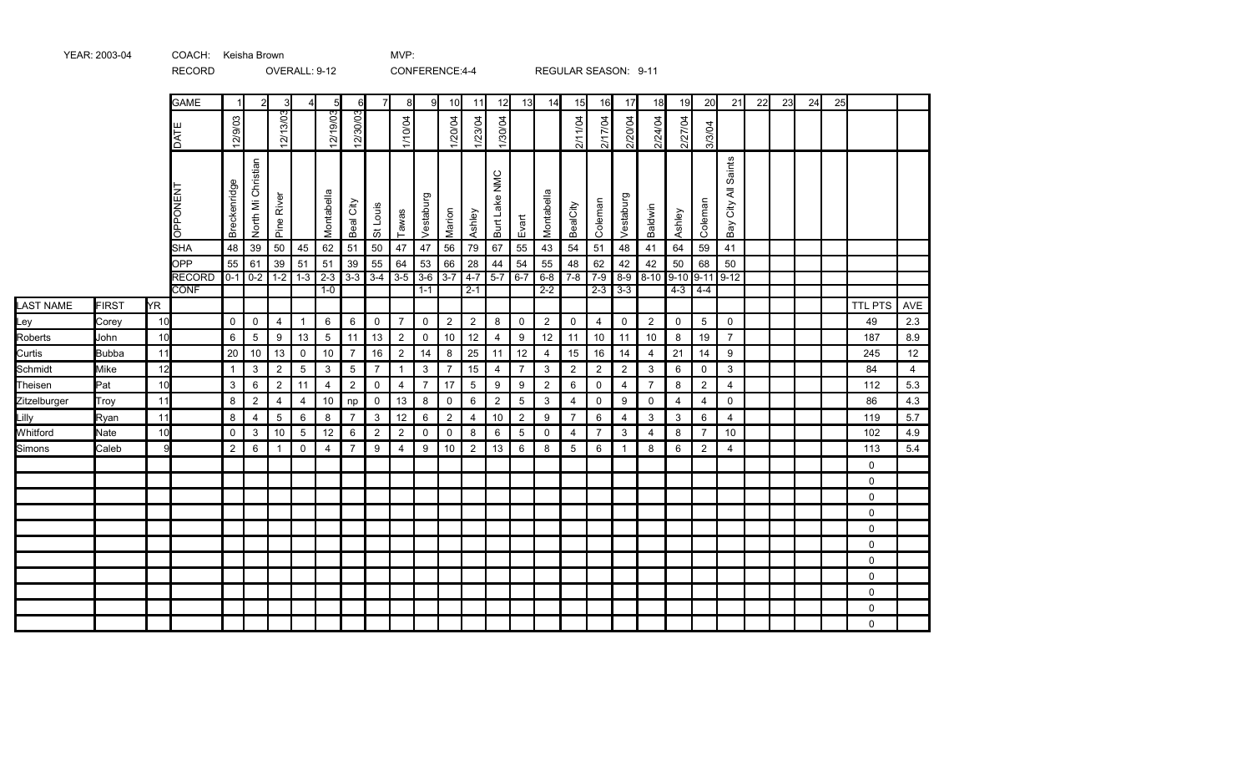|                  |              |           | <b>INLOOIND</b>              |                |                    | OVERVILLE STIZ |                |                  |                               |                |                | <b>CONFLINGTOL 4-4</b> |                |                    |                |                 |                  |                |                    | INLOULAIN ULAUUIN. UTIT |                     |             |                 |                           |    |    |    |    |                |                   |
|------------------|--------------|-----------|------------------------------|----------------|--------------------|----------------|----------------|------------------|-------------------------------|----------------|----------------|------------------------|----------------|--------------------|----------------|-----------------|------------------|----------------|--------------------|-------------------------|---------------------|-------------|-----------------|---------------------------|----|----|----|----|----------------|-------------------|
|                  |              |           | <b>GAME</b>                  | $\mathbf{1}$   | $\mathfrak{p}$     | 3              |                | $5 \,$           | 6                             |                | 8              | 9                      | 10             | 11                 | 12             | 13              | 14               | 15             | 16                 | 17                      | 18                  | 19          | 20              | 21                        | 22 | 23 | 24 | 25 |                |                   |
|                  |              |           | DATE                         | 12/9/03        |                    | 12/13/03       |                | 12/19/03         | 12/30/03                      |                | 1/10/04        |                        | 1/20/04        | 1/23/04            | 1/30/04        |                 |                  | 2/11/04        | 2/17/04            | 2/20/04                 | 2/24/04             | 2/27/04     | 3/3/04          |                           |    |    |    |    |                |                   |
|                  |              |           | OPPONENT                     | Breckenridge   | North Mi Christian | River<br>Pine  |                | Montabella       | Beal City                     | Louis<br>お     | Tawas          | ō<br>Vestaburg         | Marion         | Ashley             | Burt Lake NMC  | Evart           | Montabella       | BealCity       | Coleman            | Vestaburg               | Baldwin             | Ashley      | Coleman         | Saints<br>City All<br>Bay |    |    |    |    |                |                   |
|                  |              |           | <b>SHA</b>                   | 48             | 39                 | 50             | 45             | 62               | 51                            | 50             | 47             | 47                     | 56             | 79                 | 67             | 55              | 43               | 54             | 51                 | 48                      | 41                  | 64          | 59              | 41                        |    |    |    |    |                |                   |
|                  |              |           | OPP                          | 55             | 61                 | 39             | 51             | 51               | 39                            | 55             | 64             | 53                     | 66             | 28                 | 44             | 54              | 55               | 48             | 62                 | 42                      | 42                  | 50          | 68              | 50                        |    |    |    |    |                |                   |
|                  |              |           | <b>RECORD</b><br><b>CONF</b> |                | $0-1$ 0-2 1-2      |                | $1 - 3$        | $2 - 3$<br>$1-0$ | $3-3$ $3-4$ $3-5$ $3-6$ $3-7$ |                |                | $1 - 1$                |                | $4 - 7$<br>$2 - 1$ | $5 - 7$        | $6 - 7$         | $2 - 2$          | $6-8$ 7-8      | $7 - 9$<br>$2 - 3$ | $8-9$<br>$3 - 3$        | 8-10 9-10 9-11 9-12 |             |                 |                           |    |    |    |    |                |                   |
| <b>LAST NAME</b> | <b>FIRST</b> | <b>YR</b> |                              |                |                    |                |                |                  |                               |                |                |                        |                |                    |                |                 |                  |                |                    |                         |                     | $4 - 3$     | $4-4$           |                           |    |    |    |    | <b>TTL PTS</b> |                   |
| Ley              | Corey        | 10        |                              | $\mathbf 0$    | $\mathbf 0$        | $\overline{4}$ | $\mathbf 1$    | 6                | 6                             | $\mathbf 0$    | $\overline{7}$ | $\mathbf 0$            | $\overline{2}$ | $\overline{2}$     | 8              | $\mathbf 0$     | $\boldsymbol{2}$ | $\mathsf{O}$   | $\overline{4}$     | $\mathsf{O}$            | $\overline{2}$      | $\mathbf 0$ | $5\phantom{.0}$ | $\mathsf{O}$              |    |    |    |    | 49             | <b>AVE</b><br>2.3 |
| Roberts          | John         | 10        |                              | 6              | $\overline{5}$     | 9              | 13             | $\overline{5}$   | 11                            | 13             | $\overline{2}$ | 0                      | 10             | 12                 | $\overline{4}$ | 9               | 12               | 11             | 10                 | 11                      | 10                  | 8           | 19              | $\overline{7}$            |    |    |    |    | 187            | 8.9               |
| Curtis           | <b>Bubba</b> | 11        |                              | 20             | 10                 | 13             | $\mathbf 0$    | 10               | $\overline{7}$                | 16             | $\overline{2}$ | 14                     | 8              | 25                 | 11             | 12              | $\overline{4}$   | 15             | 16                 | 14                      | $\overline{4}$      | 21          | 14              | 9                         |    |    |    |    | 245            | 12                |
| Schmidt          | Mike         | 12        |                              | $\mathbf{1}$   | $\mathbf{3}$       | $\overline{2}$ | 5              | 3                | 5                             | $\overline{7}$ | $\overline{1}$ | $\mathbf{3}$           | $\overline{7}$ | 15                 | $\overline{4}$ | $\overline{7}$  | 3                | $\overline{2}$ | $\overline{2}$     | $\overline{2}$          | $\mathbf{3}$        | 6           | $\mathbf 0$     | $\mathbf{3}$              |    |    |    |    | 84             | $\overline{4}$    |
| Theisen          | Pat          | 10        |                              | 3              | 6                  | $\overline{2}$ | 11             | $\overline{4}$   | $\overline{2}$                | $\mathbf 0$    | $\overline{4}$ | $\overline{7}$         | 17             | $\overline{5}$     | 9              | 9               | $\overline{2}$   | 6              | $\mathsf{O}$       | $\overline{4}$          | $\overline{7}$      | 8           | $\overline{2}$  | $\overline{4}$            |    |    |    |    | 112            | 5.3               |
| Zitzelburger     | Troy         | 11        |                              | 8              | $\overline{c}$     | $\overline{4}$ | $\overline{4}$ | 10               | np                            | $\mathbf 0$    | 13             | 8                      | $\mathbf 0$    | 6                  | $\overline{2}$ | $\overline{5}$  | 3                | $\overline{4}$ | 0                  | 9                       | 0                   | 4           | $\overline{4}$  | $\mathsf{O}$              |    |    |    |    | 86             | 4.3               |
| Lilly            | Ryan         | 11        |                              | 8              | $\overline{4}$     | 5              | 6              | 8                | $\overline{7}$                | 3              | 12             | 6                      | 2              | $\overline{4}$     | 10             | $\overline{2}$  | 9                | $\overline{7}$ | 6                  | $\overline{4}$          | $\mathbf{3}$        | 3           | 6               | $\overline{4}$            |    |    |    |    | 119            | 5.7               |
| Whitford         | Nate         | 10        |                              | $\mathbf 0$    | 3                  | 10             | 5              | 12               | 6                             | 2              | 2              | $\Omega$               | $\mathbf 0$    | 8                  | 6              | $5\overline{5}$ | $\mathbf 0$      | 4              | $\overline{7}$     | 3                       | $\overline{4}$      | 8           | $\overline{7}$  | 10 <sup>1</sup>           |    |    |    |    | 102            | 4.9               |
| Simons           | Caleb        | 9         |                              | $\overline{2}$ | 6                  | $\overline{1}$ | $\mathbf 0$    | $\overline{4}$   | $\overline{7}$                | 9              | 4              | 9                      | 10             | $\overline{2}$     | 13             | 6               | 8                | 5              | 6                  | $\mathbf{1}$            | 8                   | 6           | $\overline{2}$  | $\overline{4}$            |    |    |    |    | 113            | $5.4\,$           |
|                  |              |           |                              |                |                    |                |                |                  |                               |                |                |                        |                |                    |                |                 |                  |                |                    |                         |                     |             |                 |                           |    |    |    |    | $\mathbf 0$    |                   |
|                  |              |           |                              |                |                    |                |                |                  |                               |                |                |                        |                |                    |                |                 |                  |                |                    |                         |                     |             |                 |                           |    |    |    |    | $\mathbf 0$    |                   |
|                  |              |           |                              |                |                    |                |                |                  |                               |                |                |                        |                |                    |                |                 |                  |                |                    |                         |                     |             |                 |                           |    |    |    |    | $\mathbf 0$    |                   |
|                  |              |           |                              |                |                    |                |                |                  |                               |                |                |                        |                |                    |                |                 |                  |                |                    |                         |                     |             |                 |                           |    |    |    |    | $\mathbf 0$    |                   |
|                  |              |           |                              |                |                    |                |                |                  |                               |                |                |                        |                |                    |                |                 |                  |                |                    |                         |                     |             |                 |                           |    |    |    |    | $\mathbf 0$    |                   |
|                  |              |           |                              |                |                    |                |                |                  |                               |                |                |                        |                |                    |                |                 |                  |                |                    |                         |                     |             |                 |                           |    |    |    |    | $\mathbf 0$    |                   |
|                  |              |           |                              |                |                    |                |                |                  |                               |                |                |                        |                |                    |                |                 |                  |                |                    |                         |                     |             |                 |                           |    |    |    |    | $\mathbf 0$    |                   |
|                  |              |           |                              |                |                    |                |                |                  |                               |                |                |                        |                |                    |                |                 |                  |                |                    |                         |                     |             |                 |                           |    |    |    |    | $\mathbf 0$    |                   |
|                  |              |           |                              |                |                    |                |                |                  |                               |                |                |                        |                |                    |                |                 |                  |                |                    |                         |                     |             |                 |                           |    |    |    |    | $\mathbf 0$    |                   |
|                  |              |           |                              |                |                    |                |                |                  |                               |                |                |                        |                |                    |                |                 |                  |                |                    |                         |                     |             |                 |                           |    |    |    |    | 0              |                   |
|                  |              |           |                              |                |                    |                |                |                  |                               |                |                |                        |                |                    |                |                 |                  |                |                    |                         |                     |             |                 |                           |    |    |    |    | $\mathbf 0$    |                   |

YEAR: 2003-04 COACH: Keisha Brown MVP:

RECORD OVERALL: 9-12 CONFERENCE:4-4 REGULAR SEASON: 9-11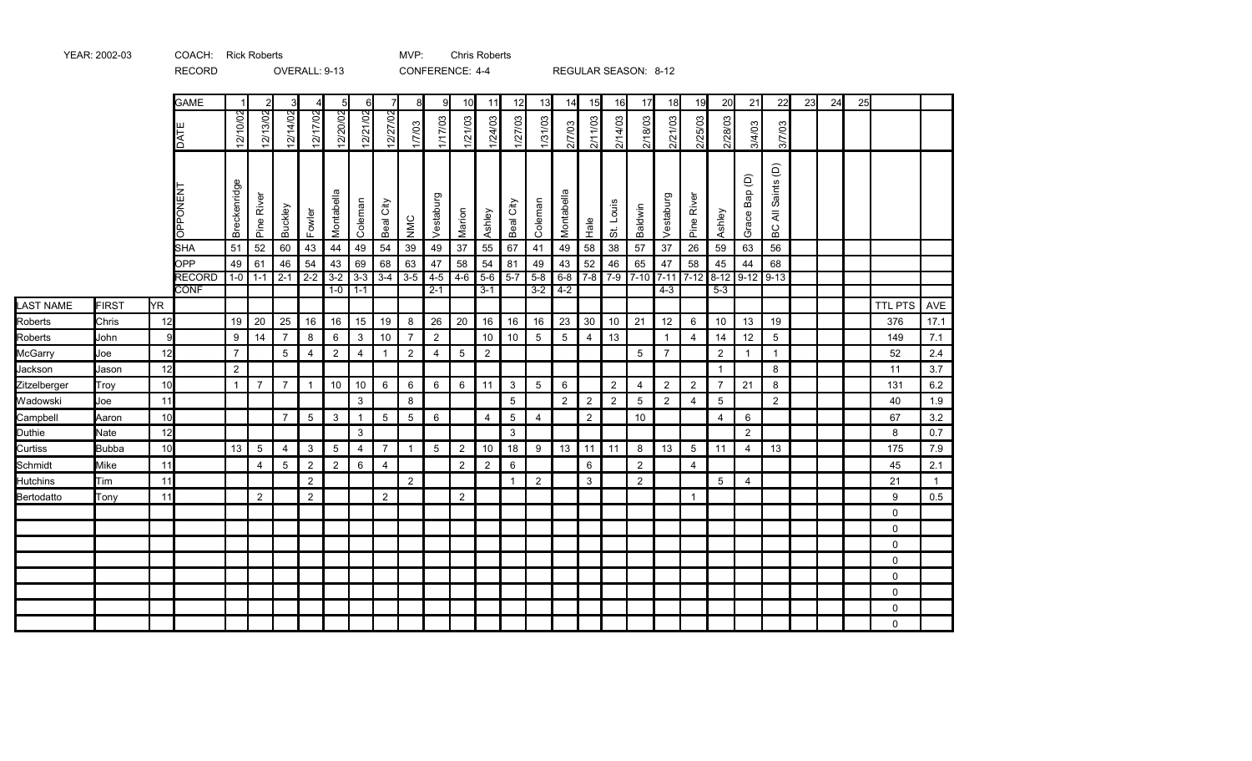|                  |              |     | <b>GAME</b>                 |                | $\overline{2}$ | 3              | 4              | -51            | 6               | $\overline{7}$ | 8              | 9              | 10             | 11                  | 12           | 13              | 14             | 15             | 16               | 17             | 18                | 19             | 20             | 21                                 | 22                                           | 23 | 24 | 25 |                |                |
|------------------|--------------|-----|-----------------------------|----------------|----------------|----------------|----------------|----------------|-----------------|----------------|----------------|----------------|----------------|---------------------|--------------|-----------------|----------------|----------------|------------------|----------------|-------------------|----------------|----------------|------------------------------------|----------------------------------------------|----|----|----|----------------|----------------|
|                  |              |     | DATE                        | 12/10/02       | 12/13/02       | 12/14/02       | 12/17/02       | 12/20/02       | <u>12/21/02</u> | 12/27/02       | 1/7/03         | 1/17/03        | 1/21/03        | 1/24/03             | 1/27/03      | 1/31/03         | 2/7/03         | 2/11/03        | 2/14/03          | 2/18/03        | 2/21/03           | 2/25/03        | 2/28/03        | 3/4/03                             | 3/7/03                                       |    |    |    |                |                |
|                  |              |     | <b>OPPONENT</b>             | Breckenridge   | Pine River     | <b>Buckley</b> | Fowler         | Montabella     | Coleman         | City<br>Beal   | NMC            | Vestaburg      | Marion         | Ashley              | City<br>Beal | Coleman         | Montabella     | Hale           | St. Louis        | Baldwin        | Vestaburg         | Pine River     | Ashley         | $\widehat{\Theta}$<br>Bap<br>Grace | Saints (D)<br>$\bar{\bar{\mathbf{z}}}$<br>ВC |    |    |    |                |                |
|                  |              |     | <b>SHA</b>                  | 51             | 52             | 60             | 43             | 44             | 49              | 54             | 39             | 49             | 37             | 55                  | 67           | 41              | 49             | 58             | 38               | 57             | $37\,$            | 26             | 59             | 63                                 | 56                                           |    |    |    |                |                |
|                  |              |     | <b>OPP</b><br><b>RECORD</b> | 49<br>$1 - 0$  | 61<br>$1 - 1$  | 46<br>$2 - 1$  | 54<br>$2 - 2$  | 43<br>$3 - 2$  | 69<br>$3 - 3$   | 68<br>$3 - 4$  | 63<br>$3-5$    | 47<br>$4 - 5$  | 58             | 54<br>$4-6$ 5-6 5-7 | 81           | 49<br>$5 - 8$   | 43<br>6-8      | 52<br>$7-8$    | 46<br>$7-9$ 7-10 | 65             | 47<br>$7-11$ 7-12 | 58             | 45<br>$8 - 12$ | 44<br>$9-12$ 9-13                  | 68                                           |    |    |    |                |                |
|                  |              |     | <b>CONF</b>                 |                |                |                |                | $1-0$          | $1 - 1$         |                |                | $2 - 1$        |                | $3 - 1$             |              | $3 - 2$         | $4-2$          |                |                  |                | $4 - 3$           |                | $5 - 3$        |                                    |                                              |    |    |    |                |                |
| <b>LAST NAME</b> | <b>FIRST</b> | YR. |                             |                |                |                |                |                |                 |                |                |                |                |                     |              |                 |                |                |                  |                |                   |                |                |                                    |                                              |    |    |    | <b>TTL PTS</b> | AVE            |
| Roberts          | Chris        | 12  |                             | 19             | 20             | 25             | 16             | 16             | 15              | 19             | 8              | 26             | 20             | 16                  | 16           | 16              | 23             | 30             | 10               | 21             | 12                | 6              | 10             | 13                                 | 19                                           |    |    |    | 376            | 17.1           |
| Roberts          | John         | 9   |                             | 9              | 14             | $\overline{7}$ | 8              | 6              | $\mathbf{3}$    | 10             | $\overline{7}$ | 2              |                | 10                  | 10           | $5\overline{)}$ | 5              | $\overline{4}$ | 13               |                | $\mathbf{1}$      | $\overline{4}$ | 14             | 12                                 | 5                                            |    |    |    | 149            | 7.1            |
| McGarry          | Joe          | 12  |                             | $\overline{7}$ |                | 5              | 4              | $\overline{2}$ | $\overline{4}$  | 1              | $\overline{2}$ | $\overline{4}$ | $5\,$          | $\overline{2}$      |              |                 |                |                |                  | 5              | $\overline{7}$    |                | $\overline{2}$ | $\mathbf{1}$                       | $\mathbf{1}$                                 |    |    |    | 52             | 2.4            |
| Jackson          | Jason        | 12  |                             | $\overline{2}$ |                |                |                |                |                 |                |                |                |                |                     |              |                 |                |                |                  |                |                   |                | $\mathbf 1$    |                                    | 8                                            |    |    |    | 11             | 3.7            |
| Zitzelberger     | Trov         | 10  |                             | $\mathbf{1}$   | $\overline{7}$ | $\overline{7}$ | $\overline{1}$ | 10             | 10              | 6              | 6              | 6              | 6              | 11                  | $\mathbf{3}$ | 5               | 6              |                | $\overline{2}$   | $\overline{4}$ | 2                 | $\overline{2}$ | $\overline{7}$ | 21                                 | 8                                            |    |    |    | 131            | 6.2            |
| Wadowski         | Joe          | 11  |                             |                |                |                |                |                | 3               |                | 8              |                |                |                     | 5            |                 | $\overline{2}$ | $\overline{2}$ | $\overline{2}$   | $\overline{5}$ | $\overline{2}$    | 4              | 5              |                                    | 2                                            |    |    |    | 40             | 1.9            |
| Campbell         | Aaron        | 10  |                             |                |                | $\overline{7}$ | 5              | 3              | $\mathbf{1}$    | $5\,$          | 5              | 6              |                | 4                   | 5            | 4               |                | $\overline{2}$ |                  | 10             |                   |                | 4              | 6                                  |                                              |    |    |    | 67             | 3.2            |
| Duthie           | Nate         | 12  |                             |                |                |                |                |                | 3               |                |                |                |                |                     | 3            |                 |                |                |                  |                |                   |                |                | 2                                  |                                              |    |    |    | 8              | 0.7            |
| Curtiss          | <b>Bubba</b> | 10  |                             | 13             | 5              | $\overline{4}$ | 3              | 5              | $\overline{4}$  | $\overline{7}$ | $\mathbf{1}$   | 5              | $\overline{2}$ | 10                  | 18           | 9               | 13             | 11             | 11               | 8              | 13                | $5\,$          | 11             | 4                                  | 13                                           |    |    |    | 175            | 7.9            |
| Schmidt          | Mike         | 11  |                             |                | $\overline{4}$ | $5\,$          | $\overline{2}$ | $\overline{2}$ | 6               | 4              |                |                | $\overline{2}$ | $\overline{2}$      | 6            |                 |                | 6              |                  | $\overline{2}$ |                   | $\overline{4}$ |                |                                    |                                              |    |    |    | 45             | 2.1            |
| <b>Hutchins</b>  | Tim          | 11  |                             |                |                |                | $\overline{2}$ |                |                 |                | 2              |                |                |                     | $\mathbf{1}$ | $\overline{2}$  |                | 3              |                  | $\overline{2}$ |                   |                | 5              | 4                                  |                                              |    |    |    | 21             | $\overline{1}$ |
| Bertodatto       | Tonv         | 11  |                             |                | 2              |                | 2              |                |                 | 2              |                |                | 2              |                     |              |                 |                |                |                  |                |                   | $\overline{1}$ |                |                                    |                                              |    |    |    | 9              | 0.5            |
|                  |              |     |                             |                |                |                |                |                |                 |                |                |                |                |                     |              |                 |                |                |                  |                |                   |                |                |                                    |                                              |    |    |    | $\mathbf 0$    |                |
|                  |              |     |                             |                |                |                |                |                |                 |                |                |                |                |                     |              |                 |                |                |                  |                |                   |                |                |                                    |                                              |    |    |    | $\Omega$       |                |
|                  |              |     |                             |                |                |                |                |                |                 |                |                |                |                |                     |              |                 |                |                |                  |                |                   |                |                |                                    |                                              |    |    |    | $\mathbf 0$    |                |
|                  |              |     |                             |                |                |                |                |                |                 |                |                |                |                |                     |              |                 |                |                |                  |                |                   |                |                |                                    |                                              |    |    |    | $\mathbf 0$    |                |
|                  |              |     |                             |                |                |                |                |                |                 |                |                |                |                |                     |              |                 |                |                |                  |                |                   |                |                |                                    |                                              |    |    |    | 0              |                |
|                  |              |     |                             |                |                |                |                |                |                 |                |                |                |                |                     |              |                 |                |                |                  |                |                   |                |                |                                    |                                              |    |    |    | $\mathbf 0$    |                |
|                  |              |     |                             |                |                |                |                |                |                 |                |                |                |                |                     |              |                 |                |                |                  |                |                   |                |                |                                    |                                              |    |    |    | $\mathbf 0$    |                |
|                  |              |     |                             |                |                |                |                |                |                 |                |                |                |                |                     |              |                 |                |                |                  |                |                   |                |                |                                    |                                              |    |    |    | $\mathbf 0$    |                |

YEAR: 2002-03 COACH: Rick Roberts MVP: Chris Roberts

RECORD OVERALL: 9-13 CONFERENCE: 4-4 REGULAR SEASON: 8-12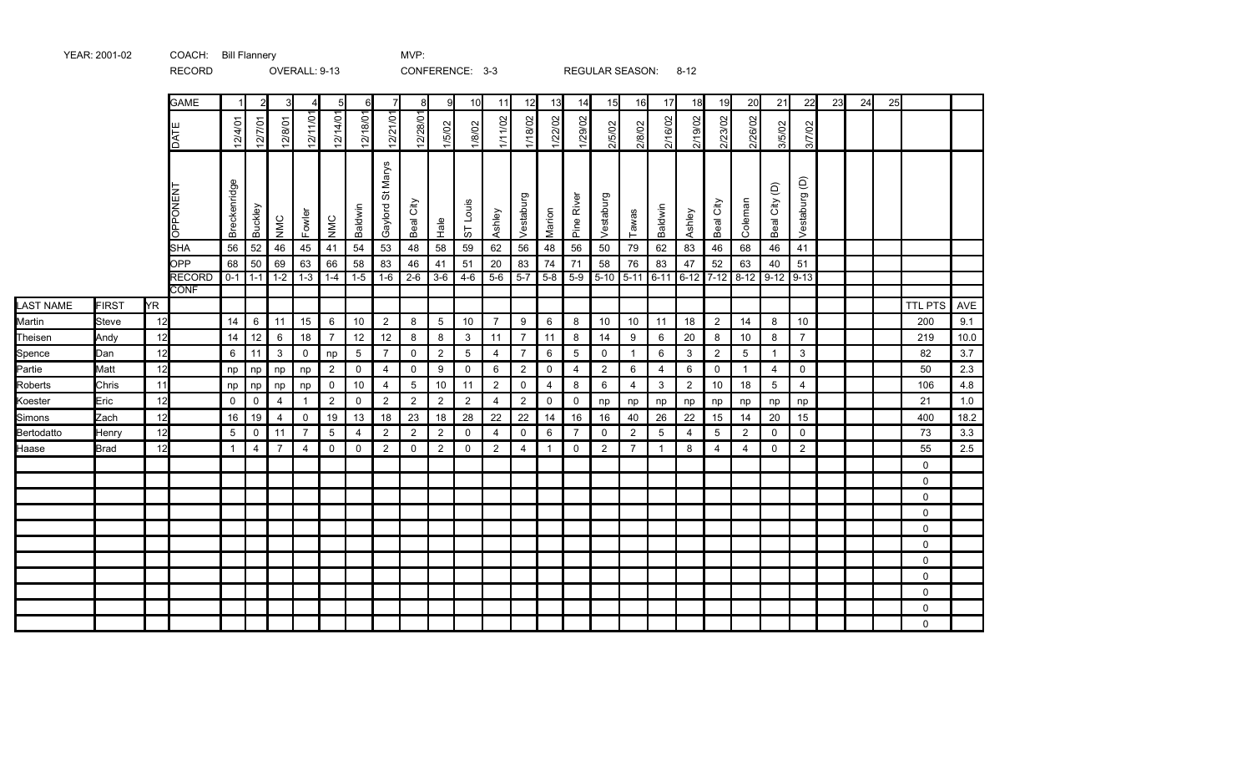|                  |              |           | <b>RECORD</b>                |              |                |                | OVERALL: 9-13  |                |                |                       | CONFERENCE: 3-3 |                |                 |                |                |                         |                |                | REGULAR SEASON:  |                | $8 - 12$       |                |                  |                 |                |    |    |    |              |         |
|------------------|--------------|-----------|------------------------------|--------------|----------------|----------------|----------------|----------------|----------------|-----------------------|-----------------|----------------|-----------------|----------------|----------------|-------------------------|----------------|----------------|------------------|----------------|----------------|----------------|------------------|-----------------|----------------|----|----|----|--------------|---------|
|                  |              |           | <b>GAME</b>                  |              | $\overline{2}$ |                | 4              | 5              | 6              | $\overline{7}$        | 8               | 9              | 10              | 11             | 12             | 13                      | 14             | 15             | 16               | 17             | 18             | 19             | 20               | 21              | 22             | 23 | 24 | 25 |              |         |
|                  |              |           | DATE                         | 12/4/01      | 12/7/01        | 12/8/01        | 12/11/01       | 12/14/01       | 12/18/01       | 12/21/01              | 12/28/01        | 1/5/02         | 1/8/02          | 1/11/02        | 1/18/02        | 1/22/02                 | 1/29/02        | 2/5/02         | 2/8/02           | 2/16/02        | 2/19/02        | 2/23/02        | 2/26/02          | 3/5/02          | 3/7/02         |    |    |    |              |         |
|                  |              |           | <b>OPPONEN</b>               | Breckenridge | Buckley        | NMC            | Fowler         | NMC            | Baldwin        | Marys<br>5<br>Gaylord | City<br>Beal    | $Ha$ e         | ST Louis        | Ashley         | Vestaburg      | Marion                  | Pine River     | Vestaburg      | Tawas            | Baldwin        | Ashley         | Beal City      | Coleman          | Beal City (D)   | Vestaburg (D)  |    |    |    |              |         |
|                  |              |           | <b>SHA</b>                   | 56           | 52             | 46             | 45             | 41             | 54             | 53                    | 48              | 58             | 59              | 62             | 56             | 48                      | 56             | 50             | 79               | 62             | 83             | 46             | 68               | 46              | 41             |    |    |    |              |         |
|                  |              |           | OPP                          | 68           | 50             | 69             | 63             | 66             | 58             | 83                    | 46              | 41             | 51              | 20             | 83             | 74                      | 71             | 58             | 76               | 83             | 47             | 52             | 63               | 40              | 51             |    |    |    |              |         |
|                  |              |           | <b>RECORD</b><br><b>CONF</b> |              | $0-1$ 1-1      | $1-2$          | $1 - 3$        | $1-4$          | $1-5$          | $1 - 6$               | $2 - 6$         | $3-6$          | $4 - 6$         | $5-6$          | $5 - 7$        | $5 - 8$                 | $5-9$          |                | $5-10$ 5-11 6-11 |                | $6 - 12$       | $7 - 12$       | $8-12$ 9-12 9-13 |                 |                |    |    |    |              |         |
| <b>LAST NAME</b> | <b>FIRST</b> | <b>YR</b> |                              |              |                |                |                |                |                |                       |                 |                |                 |                |                |                         |                |                |                  |                |                |                |                  |                 |                |    |    |    | TTL PTS      | AVE     |
| Martin           | Steve        | 12        |                              | 14           | 6              | 11             | 15             | 6              | 10             | $\overline{2}$        | 8               | 5              | 10              | $\overline{7}$ | 9              | 6                       | 8              | 10             | 10               | 11             | 18             | 2              | 14               | 8               | 10             |    |    |    | 200          | 9.1     |
| Theisen          | Andy         | 12        |                              | 14           | 12             | 6              | 18             | $\overline{7}$ | 12             | 12                    | 8               | 8              | 3               | 11             | $\overline{7}$ | 11                      | 8              | 14             | 9                | 6              | 20             | 8              | 10               | 8               | $\overline{7}$ |    |    |    | 219          | 10.0    |
| Spence           | Dan          | 12        |                              | 6            | 11             | $\mathbf{3}$   | 0              | np             | 5              | $\overline{7}$        | $\mathsf{O}$    | $\overline{2}$ | $5\phantom{.0}$ | $\overline{4}$ | $\overline{7}$ | 6                       | 5              | $\mathbf 0$    | $\overline{1}$   | 6              | 3              | 2              | 5                | $\mathbf{1}$    | 3              |    |    |    | 82           | 3.7     |
| Partie           | Matt         | 12        |                              | np           | np             | np             | np             | $\overline{2}$ | $\mathsf{O}$   | $\overline{4}$        | $\mathsf{O}$    | 9              | $\mathsf{O}$    | 6              | $\overline{2}$ | 0                       | 4              | $\overline{2}$ | 6                | $\overline{4}$ | 6              | $\mathbf 0$    | $\mathbf 1$      | $\overline{4}$  | $\mathbf 0$    |    |    |    | 50           | 2.3     |
| Roberts          | Chris        | 11        |                              | np           | np             | np             | np             | $\mathbf 0$    | 10             | $\overline{4}$        | $5\overline{)}$ | $10\,$         | 11              | $\overline{c}$ | $\mathsf 0$    | $\overline{4}$          | 8              | 6              | 4                | $\mathbf{3}$   | $\overline{2}$ | $10$           | 18               | $5\overline{)}$ | $\overline{4}$ |    |    |    | 106          | 4.8     |
| Koester          | Eric         | 12        |                              | $\mathbf 0$  | $\overline{0}$ | $\overline{4}$ |                | $\overline{2}$ | $\mathbf 0$    | $\overline{2}$        | $\overline{2}$  | $\overline{c}$ | $\overline{2}$  | $\overline{4}$ | $\overline{2}$ | 0                       | $\mathbf 0$    | np             | np               | np             | np             | np             | np               | np              | np             |    |    |    | 21           | 1.0     |
| Simons           | Zach         | 12        |                              | 16           | 19             | $\overline{4}$ | $\mathsf 0$    | 19             | 13             | 18                    | 23              | $18\,$         | 28              | 22             | $22\,$         | 14                      | 16             | 16             | 40               | 26             | 22             | 15             | 14               | $20\,$          | 15             |    |    |    | 400          | 18.2    |
| Bertodatto       | Henry        | 12        |                              | 5            | $\mathbf 0$    | 11             | $\overline{7}$ | 5              | $\overline{4}$ | 2                     | $\overline{2}$  | $\overline{2}$ | $\mathbf 0$     | $\overline{4}$ | $\mathsf{O}$   | 6                       | $\overline{7}$ | $\mathbf 0$    | $\overline{2}$   | 5              | $\overline{4}$ | 5              | $\overline{2}$   | $\mathsf{O}$    | $\mathbf 0$    |    |    |    | 73           | 3.3     |
| Haase            | Brad         | 12        |                              | -1           | $\overline{4}$ | $\overline{7}$ | $\overline{4}$ | 0              | 0              | $\overline{2}$        | 0               | $\overline{c}$ | 0               | $\overline{c}$ | $\overline{4}$ | $\overline{\mathbf{1}}$ | 0              | 2              | $\overline{7}$   | $\mathbf{1}$   | 8              | $\overline{4}$ | $\overline{4}$   | 0               | $\overline{2}$ |    |    |    | 55           | $2.5\,$ |
|                  |              |           |                              |              |                |                |                |                |                |                       |                 |                |                 |                |                |                         |                |                |                  |                |                |                |                  |                 |                |    |    |    | $\mathbf{0}$ |         |
|                  |              |           |                              |              |                |                |                |                |                |                       |                 |                |                 |                |                |                         |                |                |                  |                |                |                |                  |                 |                |    |    |    | $\Omega$     |         |
|                  |              |           |                              |              |                |                |                |                |                |                       |                 |                |                 |                |                |                         |                |                |                  |                |                |                |                  |                 |                |    |    |    | $\mathbf 0$  |         |
|                  |              |           |                              |              |                |                |                |                |                |                       |                 |                |                 |                |                |                         |                |                |                  |                |                |                |                  |                 |                |    |    |    | $\mathbf 0$  |         |
|                  |              |           |                              |              |                |                |                |                |                |                       |                 |                |                 |                |                |                         |                |                |                  |                |                |                |                  |                 |                |    |    |    | $\mathbf 0$  |         |
|                  |              |           |                              |              |                |                |                |                |                |                       |                 |                |                 |                |                |                         |                |                |                  |                |                |                |                  |                 |                |    |    |    | $\mathbf 0$  |         |
|                  |              |           |                              |              |                |                |                |                |                |                       |                 |                |                 |                |                |                         |                |                |                  |                |                |                |                  |                 |                |    |    |    | $\mathbf 0$  |         |
|                  |              |           |                              |              |                |                |                |                |                |                       |                 |                |                 |                |                |                         |                |                |                  |                |                |                |                  |                 |                |    |    |    | $\mathbf 0$  |         |
|                  |              |           |                              |              |                |                |                |                |                |                       |                 |                |                 |                |                |                         |                |                |                  |                |                |                |                  |                 |                |    |    |    | $\mathbf 0$  |         |
|                  |              |           |                              |              |                |                |                |                |                |                       |                 |                |                 |                |                |                         |                |                |                  |                |                |                |                  |                 |                |    |    |    | $\Omega$     |         |
|                  |              |           |                              |              |                |                |                |                |                |                       |                 |                |                 |                |                |                         |                |                |                  |                |                |                |                  |                 |                |    |    |    | $\Omega$     |         |

YEAR: 2001-02 COACH: Bill Flannery CHAR MVP: